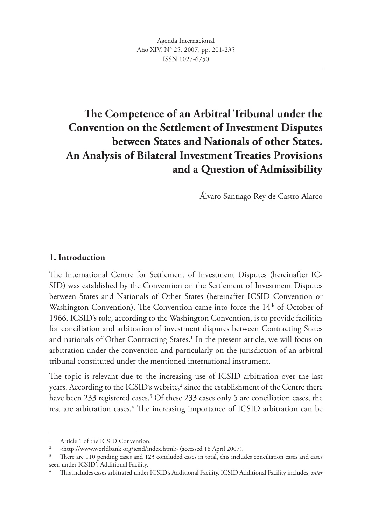# **The Competence of an Arbitral Tribunal under the Convention on the Settlement of Investment Disputes between States and Nationals of other States. An Analysis of Bilateral Investment Treaties Provisions and a Question of Admissibility**

Álvaro Santiago Rey de Castro Alarco

### **1. Introduction**

The International Centre for Settlement of Investment Disputes (hereinafter IC-SID) was established by the Convention on the Settlement of Investment Disputes between States and Nationals of Other States (hereinafter ICSID Convention or Washington Convention). The Convention came into force the 14<sup>th</sup> of October of 1966. ICSID's role, according to the Washington Convention, is to provide facilities for conciliation and arbitration of investment disputes between Contracting States and nationals of Other Contracting States.<sup>1</sup> In the present article, we will focus on arbitration under the convention and particularly on the jurisdiction of an arbitral tribunal constituted under the mentioned international instrument.

The topic is relevant due to the increasing use of ICSID arbitration over the last years. According to the ICSID's website, $^2$  since the establishment of the Centre there have been 233 registered cases.<sup>3</sup> Of these 233 cases only 5 are conciliation cases, the rest are arbitration cases.<sup>4</sup> The increasing importance of ICSID arbitration can be

Article 1 of the ICSID Convention.

<sup>2</sup> <http://www.worldbank.org/icsid/index.html> (accessed 18 April 2007).

<sup>3</sup> There are 110 pending cases and 123 concluded cases in total, this includes conciliation cases and cases seen under ICSID's Additional Facility.

<sup>4</sup> This includes cases arbitrated under ICSID's Additional Facility. ICSID Additional Facility includes, *inter*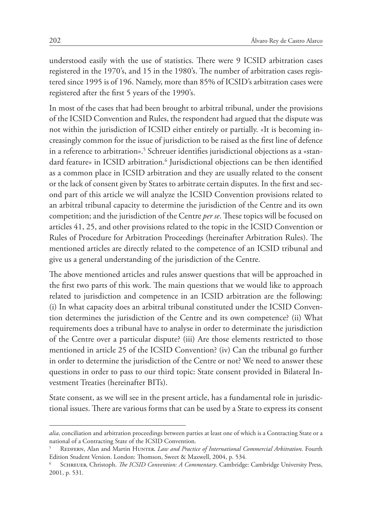understood easily with the use of statistics. There were 9 ICSID arbitration cases registered in the 1970's, and 15 in the 1980's. The number of arbitration cases registered since 1995 is of 196. Namely, more than 85% of ICSID's arbitration cases were registered after the first 5 years of the 1990's.

In most of the cases that had been brought to arbitral tribunal, under the provisions of the ICSID Convention and Rules, the respondent had argued that the dispute was not within the jurisdiction of ICSID either entirely or partially. «It is becoming increasingly common for the issue of jurisdiction to be raised as the first line of defence in a reference to arbitration».<sup>5</sup> Schreuer identifies jurisdictional objections as a «standard feature» in ICSID arbitration.<sup>6</sup> Jurisdictional objections can be then identified as a common place in ICSID arbitration and they are usually related to the consent or the lack of consent given by States to arbitrate certain disputes. In the first and second part of this article we will analyze the ICSID Convention provisions related to an arbitral tribunal capacity to determine the jurisdiction of the Centre and its own competition; and the jurisdiction of the Centre *per se*. These topics will be focused on articles 41, 25, and other provisions related to the topic in the ICSID Convention or Rules of Procedure for Arbitration Proceedings (hereinafter Arbitration Rules). The mentioned articles are directly related to the competence of an ICSID tribunal and give us a general understanding of the jurisdiction of the Centre.

The above mentioned articles and rules answer questions that will be approached in the first two parts of this work. The main questions that we would like to approach related to jurisdiction and competence in an ICSID arbitration are the following: (i) In what capacity does an arbitral tribunal constituted under the ICSID Convention determines the jurisdiction of the Centre and its own competence? (ii) What requirements does a tribunal have to analyse in order to determinate the jurisdiction of the Centre over a particular dispute? (iii) Are those elements restricted to those mentioned in article 25 of the ICSID Convention? (iv) Can the tribunal go further in order to determine the jurisdiction of the Centre or not? We need to answer these questions in order to pass to our third topic: State consent provided in Bilateral Investment Treaties (hereinafter BITs).

State consent, as we will see in the present article, has a fundamental role in jurisdictional issues. There are various forms that can be used by a State to express its consent

*alia*, conciliation and arbitration proceedings between parties at least one of which is a Contracting State or a national of a Contracting State of the ICSID Convention.

<sup>5</sup> Redfern, Alan and Martin Hunter. *Law and Practice of International Commercial Arbitration*. Fourth Edition Student Version. London: Thomson, Sweet & Maxwell, 2004, p. 534.

<sup>6</sup> Schreuer, Christoph. *The ICSID Convention: A Commentary*. Cambridge: Cambridge University Press, 2001, p. 531.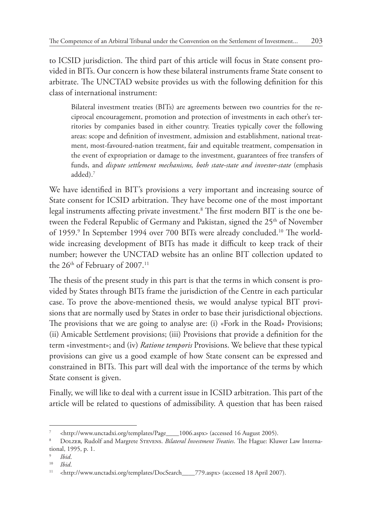to ICSID jurisdiction. The third part of this article will focus in State consent provided in BITs. Our concern is how these bilateral instruments frame State consent to arbitrate. The UNCTAD website provides us with the following definition for this class of international instrument:

Bilateral investment treaties (BITs) are agreements between two countries for the reciprocal encouragement, promotion and protection of investments in each other's territories by companies based in either country. Treaties typically cover the following areas: scope and definition of investment, admission and establishment, national treatment, most-favoured-nation treatment, fair and equitable treatment, compensation in the event of expropriation or damage to the investment, guarantees of free transfers of funds, and *dispute settlement mechanisms, both state-state and investor-state* (emphasis added).7

We have identified in BIT's provisions a very important and increasing source of State consent for ICSID arbitration. They have become one of the most important legal instruments affecting private investment.<sup>8</sup> The first modern BIT is the one between the Federal Republic of Germany and Pakistan, signed the 25<sup>th</sup> of November of 1959.<sup>9</sup> In September 1994 over 700 BITs were already concluded.<sup>10</sup> The worldwide increasing development of BITs has made it difficult to keep track of their number; however the UNCTAD website has an online BIT collection updated to the  $26<sup>th</sup>$  of February of 2007.<sup>11</sup>

The thesis of the present study in this part is that the terms in which consent is provided by States through BITs frame the jurisdiction of the Centre in each particular case. To prove the above-mentioned thesis, we would analyse typical BIT provisions that are normally used by States in order to base their jurisdictional objections. The provisions that we are going to analyse are: (i) «Fork in the Road» Provisions; (ii) Amicable Settlement provisions; (iii) Provisions that provide a definition for the term «investment»; and (iv) *Ratione temporis* Provisions. We believe that these typical provisions can give us a good example of how State consent can be expressed and constrained in BITs. This part will deal with the importance of the terms by which State consent is given.

Finally, we will like to deal with a current issue in ICSID arbitration. This part of the article will be related to questions of admissibility. A question that has been raised

<sup>7</sup> <http://www.unctadxi.org/templates/Page\_\_\_\_1006.aspx> (accessed 16 August 2005).

<sup>8</sup> Dolzer, Rudolf and Margrete Stevens. *Bilateral Investment Treaties*. The Hague: Kluwer Law International, 1995, p. 1.

<sup>9</sup> *Ibid*.

 $10$  *Ibid.* 

<sup>11</sup> <http://www.unctadxi.org/templates/DocSearch\_\_\_\_779.aspx> (accessed 18 April 2007).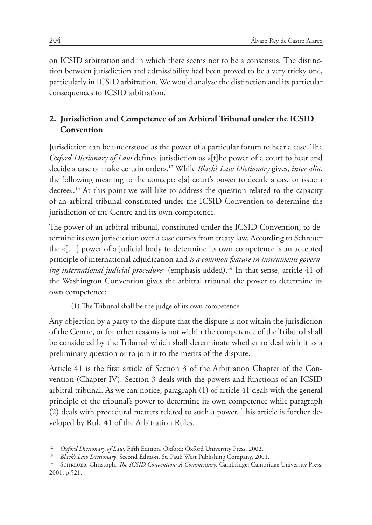on ICSID arbitration and in which there seems not to be a consensus. The distinction between jurisdiction and admissibility had been proved to be a very tricky one, particularly in ICSID arbitration. We would analyse the distinction and its particular consequences to ICSID arbitration.

# **2. Jurisdiction and Competence of an Arbitral Tribunal under the ICSID Convention**

Jurisdiction can be understood as the power of a particular forum to hear a case. The *Oxford Dictionary of Law* defines jurisdiction as «[t]he power of a court to hear and decide a case or make certain order».12 While *Black's Law Dictionary* gives, *inter alia*, the following meaning to the concept: «[a] court's power to decide a case or issue a decree».<sup>13</sup> At this point we will like to address the question related to the capacity of an arbitral tribunal constituted under the ICSID Convention to determine the jurisdiction of the Centre and its own competence.

The power of an arbitral tribunal, constituted under the ICSID Convention, to determine its own jurisdiction over a case comes from treaty law. According to Schreuer the «[…] power of a judicial body to determine its own competence is an accepted principle of international adjudication and *is a common feature in instruments governing international judicial procedure»* (emphasis added).<sup>14</sup> In that sense, article 41 of the Washington Convention gives the arbitral tribunal the power to determine its own competence:

(1) The Tribunal shall be the judge of its own competence.

Any objection by a party to the dispute that the dispute is not within the jurisdiction of the Centre, or for other reasons is not within the competence of the Tribunal shall be considered by the Tribunal which shall determinate whether to deal with it as a preliminary question or to join it to the merits of the dispute.

Article 41 is the first article of Section 3 of the Arbitration Chapter of the Convention (Chapter IV). Section 3 deals with the powers and functions of an ICSID arbitral tribunal. As we can notice, paragraph (1) of article 41 deals with the general principle of the tribunal's power to determine its own competence while paragraph (2) deals with procedural matters related to such a power. This article is further developed by Rule 41 of the Arbitration Rules.

<sup>12</sup> *Oxford Dictionary of Law*. Fifth Edition. Oxford: Oxford University Press, 2002.

<sup>13</sup> *Black's Law Dictionary*. Second Edition. St. Paul: West Publishing Company, 2001.

<sup>14</sup> Schreuer, Christoph. *The ICSID Convention: A Commentary*. Cambridge: Cambridge University Press, 2001, p 521.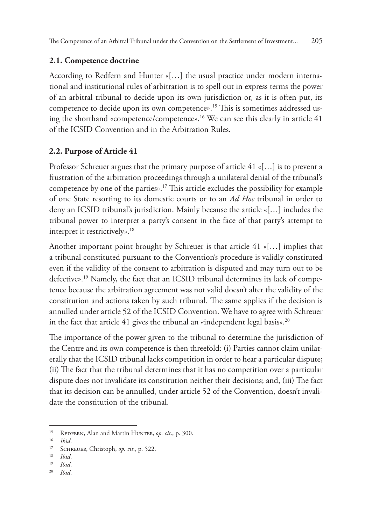### **2.1. Competence doctrine**

According to Redfern and Hunter «[…] the usual practice under modern international and institutional rules of arbitration is to spell out in express terms the power of an arbitral tribunal to decide upon its own jurisdiction or, as it is often put, its competence to decide upon its own competence».15 This is sometimes addressed using the shorthand «competence/competence».16 We can see this clearly in article 41 of the ICSID Convention and in the Arbitration Rules.

# **2.2. Purpose of Article 41**

Professor Schreuer argues that the primary purpose of article 41 «[…] is to prevent a frustration of the arbitration proceedings through a unilateral denial of the tribunal's competence by one of the parties».17 This article excludes the possibility for example of one State resorting to its domestic courts or to an *Ad Hoc* tribunal in order to deny an ICSID tribunal's jurisdiction. Mainly because the article «[…] includes the tribunal power to interpret a party's consent in the face of that party's attempt to interpret it restrictively».<sup>18</sup>

Another important point brought by Schreuer is that article 41 «[…] implies that a tribunal constituted pursuant to the Convention's procedure is validly constituted even if the validity of the consent to arbitration is disputed and may turn out to be defective».19 Namely, the fact that an ICSID tribunal determines its lack of competence because the arbitration agreement was not valid doesn't alter the validity of the constitution and actions taken by such tribunal. The same applies if the decision is annulled under article 52 of the ICSID Convention. We have to agree with Schreuer in the fact that article 41 gives the tribunal an «independent legal basis».<sup>20</sup>

The importance of the power given to the tribunal to determine the jurisdiction of the Centre and its own competence is then threefold: (i) Parties cannot claim unilaterally that the ICSID tribunal lacks competition in order to hear a particular dispute; (ii) The fact that the tribunal determines that it has no competition over a particular dispute does not invalidate its constitution neither their decisions; and, (iii) The fact that its decision can be annulled, under article 52 of the Convention, doesn't invalidate the constitution of the tribunal.

<sup>15</sup> Redfern, Alan and Martin Hunter, *op. cit*., p. 300.

<sup>16</sup> *Ibid*.

<sup>17</sup> Schreuer, Christoph, *op. cit*., p. 522.

<sup>18</sup> *Ibid*.

<sup>19</sup> *Ibid*.

<sup>20</sup> *Ibid*.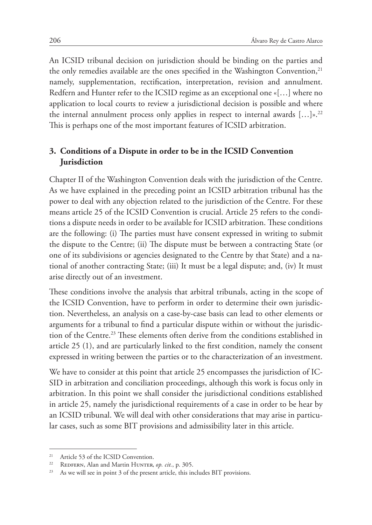An ICSID tribunal decision on jurisdiction should be binding on the parties and the only remedies available are the ones specified in the Washington Convention,<sup>21</sup> namely, supplementation, rectification, interpretation, revision and annulment. Redfern and Hunter refer to the ICSID regime as an exceptional one «[…] where no application to local courts to review a jurisdictional decision is possible and where the internal annulment process only applies in respect to internal awards  $[...]_2^{p,22}$ This is perhaps one of the most important features of ICSID arbitration.

# **3. Conditions of a Dispute in order to be in the ICSID Convention Jurisdiction**

Chapter II of the Washington Convention deals with the jurisdiction of the Centre. As we have explained in the preceding point an ICSID arbitration tribunal has the power to deal with any objection related to the jurisdiction of the Centre. For these means article 25 of the ICSID Convention is crucial. Article 25 refers to the conditions a dispute needs in order to be available for ICSID arbitration. These conditions are the following: (i) The parties must have consent expressed in writing to submit the dispute to the Centre; (ii) The dispute must be between a contracting State (or one of its subdivisions or agencies designated to the Centre by that State) and a national of another contracting State; (iii) It must be a legal dispute; and, (iv) It must arise directly out of an investment.

These conditions involve the analysis that arbitral tribunals, acting in the scope of the ICSID Convention, have to perform in order to determine their own jurisdiction. Nevertheless, an analysis on a case-by-case basis can lead to other elements or arguments for a tribunal to find a particular dispute within or without the jurisdiction of the Centre.23 These elements often derive from the conditions established in article 25 (1), and are particularly linked to the first condition, namely the consent expressed in writing between the parties or to the characterization of an investment.

We have to consider at this point that article 25 encompasses the jurisdiction of IC-SID in arbitration and conciliation proceedings, although this work is focus only in arbitration. In this point we shall consider the jurisdictional conditions established in article 25, namely the jurisdictional requirements of a case in order to be hear by an ICSID tribunal. We will deal with other considerations that may arise in particular cases, such as some BIT provisions and admissibility later in this article.

<sup>&</sup>lt;sup>21</sup> Article 53 of the ICSID Convention.

<sup>&</sup>lt;sup>22</sup> REDFERN, Alan and Martin HUNTER, *op. cit.*, p. 305.

<sup>&</sup>lt;sup>23</sup> As we will see in point 3 of the present article, this includes BIT provisions.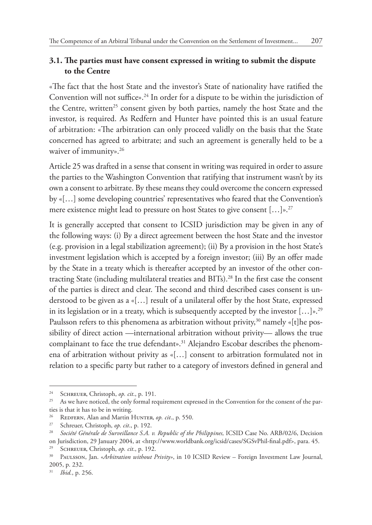### **3.1. The parties must have consent expressed in writing to submit the dispute to the Centre**

«The fact that the host State and the investor's State of nationality have ratified the Convention will not suffice».<sup>24</sup> In order for a dispute to be within the jurisdiction of the Centre, written<sup>25</sup> consent given by both parties, namely the host State and the investor, is required. As Redfern and Hunter have pointed this is an usual feature of arbitration: «The arbitration can only proceed validly on the basis that the State concerned has agreed to arbitrate; and such an agreement is generally held to be a waiver of immunity».<sup>26</sup>

Article 25 was drafted in a sense that consent in writing was required in order to assure the parties to the Washington Convention that ratifying that instrument wasn't by its own a consent to arbitrate. By these means they could overcome the concern expressed by «[…] some developing countries' representatives who feared that the Convention's mere existence might lead to pressure on host States to give consent  $[\dots]_{\infty}$ <sup>27</sup>

It is generally accepted that consent to ICSID jurisdiction may be given in any of the following ways: (i) By a direct agreement between the host State and the investor (e.g. provision in a legal stabilization agreement); (ii) By a provision in the host State's investment legislation which is accepted by a foreign investor; (iii) By an offer made by the State in a treaty which is thereafter accepted by an investor of the other contracting State (including multilateral treaties and BITs).28 In the first case the consent of the parties is direct and clear. The second and third described cases consent is understood to be given as a «[…] result of a unilateral offer by the host State, expressed in its legislation or in a treaty, which is subsequently accepted by the investor  $[...]^{p,29}$ Paulsson refers to this phenomena as arbitration without privity,<sup>30</sup> namely « $[t]$ he possibility of direct action —international arbitration without privity— allows the true complainant to face the true defendant».<sup>31</sup> Alejandro Escobar describes the phenomena of arbitration without privity as «[…] consent to arbitration formulated not in relation to a specific party but rather to a category of investors defined in general and

<sup>24</sup> Schreuer, Christoph, *op. cit*., p. 191.

<sup>&</sup>lt;sup>25</sup> As we have noticed, the only formal requirement expressed in the Convention for the consent of the parties is that it has to be in writing.

<sup>&</sup>lt;sup>26</sup> REDFERN, Alan and Martin HUNTER, *op. cit.*, p. 550.<br><sup>27</sup> Schreuer Christoph *ep. cit.*, p. 192

Schreuer, Christoph, op. cit., p. 192.

<sup>&</sup>lt;sup>28</sup> Société Générale de Surveillance S.A. v. Republic of the Philippines, ICSID Case No. ARB/02/6, Decision on Jurisdiction, 29 January 2004, at <http://www.worldbank.org/icsid/cases/SGSvPhil-final.pdf>, para. 45.

SCHREUER, Christoph, *op. cit.*, p. 192.

<sup>30</sup> Paulsson, Jan. «*Arbitration without Privity»*, in 10 ICSID Review – Foreign Investment Law Journal, 2005, p. 232.

<sup>31</sup> *Ibid.*, p. 256.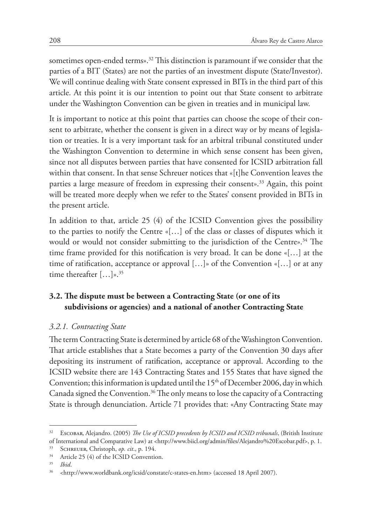sometimes open-ended terms».32 This distinction is paramount if we consider that the parties of a BIT (States) are not the parties of an investment dispute (State/Investor). We will continue dealing with State consent expressed in BITs in the third part of this article. At this point it is our intention to point out that State consent to arbitrate under the Washington Convention can be given in treaties and in municipal law.

It is important to notice at this point that parties can choose the scope of their consent to arbitrate, whether the consent is given in a direct way or by means of legislation or treaties. It is a very important task for an arbitral tribunal constituted under the Washington Convention to determine in which sense consent has been given, since not all disputes between parties that have consented for ICSID arbitration fall within that consent. In that sense Schreuer notices that «[t]he Convention leaves the parties a large measure of freedom in expressing their consent».33 Again, this point will be treated more deeply when we refer to the States' consent provided in BITs in the present article.

In addition to that, article 25 (4) of the ICSID Convention gives the possibility to the parties to notify the Centre «[…] of the class or classes of disputes which it would or would not consider submitting to the jurisdiction of the Centre».<sup>34</sup> The time frame provided for this notification is very broad. It can be done «[…] at the time of ratification, acceptance or approval […]» of the Convention «[…] or at any time thereafter  $[...]_{\mathcal{P}}$ .<sup>35</sup>

### **3.2. The dispute must be between a Contracting State (or one of its subdivisions or agencies) and a national of another Contracting State**

#### *3.2.1. Contracting State*

The term Contracting State is determined by article 68 of the Washington Convention. That article establishes that a State becomes a party of the Convention 30 days after depositing its instrument of ratification, acceptance or approval. According to the ICSID website there are 143 Contracting States and 155 States that have signed the Convention; this information is updated until the  $15<sup>th</sup>$  of December 2006, day in which Canada signed the Convention.<sup>36</sup> The only means to lose the capacity of a Contracting State is through denunciation. Article 71 provides that: «Any Contracting State may

<sup>32</sup> Escobar, Alejandro. (2005) *The Use of ICSID precedents by ICSID and ICSID tribunals*, (British Institute of International and Comparative Law) at <http://www.biicl.org/admin/files/Alejandro%20Escobar.pdf>, p. 1.

<sup>&</sup>lt;sup>33</sup> SCHREUER, Christoph, *op. cit.*, p. 194.<br><sup>34</sup> Article 25 (4) of the ICSID Convention

Article 25 (4) of the ICSID Convention.

 $35$  *Ibid.* 

<sup>36</sup> <http://www.worldbank.org/icsid/constate/c-states-en.htm> (accessed 18 April 2007).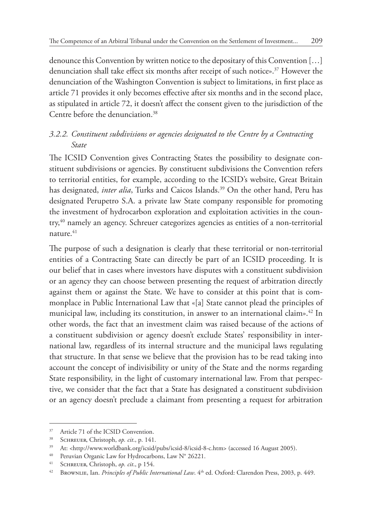denounce this Convention by written notice to the depositary of this Convention […] denunciation shall take effect six months after receipt of such notice».37 However the denunciation of the Washington Convention is subject to limitations, in first place as article 71 provides it only becomes effective after six months and in the second place, as stipulated in article 72, it doesn't affect the consent given to the jurisdiction of the Centre before the denunciation.38

### *3.2.2. Constituent subdivisions or agencies designated to the Centre by a Contracting State*

The ICSID Convention gives Contracting States the possibility to designate constituent subdivisions or agencies. By constituent subdivisions the Convention refers to territorial entities, for example, according to the ICSID's website, Great Britain has designated, *inter alia*, Turks and Caicos Islands.39 On the other hand, Peru has designated Perupetro S.A. a private law State company responsible for promoting the investment of hydrocarbon exploration and exploitation activities in the country,<sup>40</sup> namely an agency. Schreuer categorizes agencies as entities of a non-territorial nature $41$ 

The purpose of such a designation is clearly that these territorial or non-territorial entities of a Contracting State can directly be part of an ICSID proceeding. It is our belief that in cases where investors have disputes with a constituent subdivision or an agency they can choose between presenting the request of arbitration directly against them or against the State. We have to consider at this point that is commonplace in Public International Law that «[a] State cannot plead the principles of municipal law, including its constitution, in answer to an international claim».<sup>42</sup> In other words, the fact that an investment claim was raised because of the actions of a constituent subdivision or agency doesn't exclude States' responsibility in international law, regardless of its internal structure and the municipal laws regulating that structure. In that sense we believe that the provision has to be read taking into account the concept of indivisibility or unity of the State and the norms regarding State responsibility, in the light of customary international law. From that perspective, we consider that the fact that a State has designated a constituent subdivision or an agency doesn't preclude a claimant from presenting a request for arbitration

<sup>&</sup>lt;sup>37</sup> Article 71 of the ICSID Convention.

<sup>38</sup> Schreuer, Christoph, *op. cit*., p. 141.

<sup>39</sup> At: <http://www.worldbank.org/icsid/pubs/icsid-8/icsid-8-c.htm> (accessed 16 August 2005).

<sup>40</sup> Peruvian Organic Law for Hydrocarbons, Law N° 26221.

<sup>41</sup> Schreuer, Christoph, *op. cit*., p 154.

<sup>42</sup> Brownlie, Ian. *Principles of Public International Law*. 4th ed. Oxford: Clarendon Press, 2003, p. 449.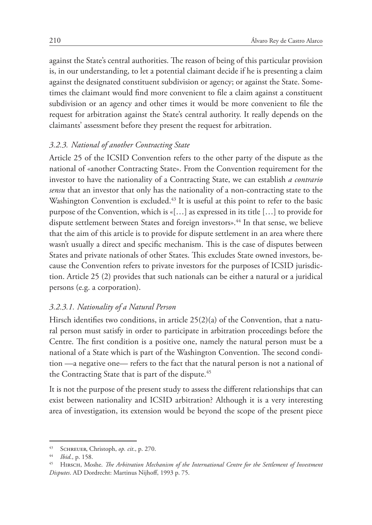against the State's central authorities. The reason of being of this particular provision is, in our understanding, to let a potential claimant decide if he is presenting a claim against the designated constituent subdivision or agency; or against the State. Sometimes the claimant would find more convenient to file a claim against a constituent subdivision or an agency and other times it would be more convenient to file the request for arbitration against the State's central authority. It really depends on the claimants' assessment before they present the request for arbitration.

#### *3.2.3. National of another Contracting State*

Article 25 of the ICSID Convention refers to the other party of the dispute as the national of «another Contracting State». From the Convention requirement for the investor to have the nationality of a Contracting State, we can establish *a contrario sensu* that an investor that only has the nationality of a non-contracting state to the Washington Convention is excluded.<sup>43</sup> It is useful at this point to refer to the basic purpose of the Convention, which is «[…] as expressed in its title […] to provide for dispute settlement between States and foreign investors».<sup>44</sup> In that sense, we believe that the aim of this article is to provide for dispute settlement in an area where there wasn't usually a direct and specific mechanism. This is the case of disputes between States and private nationals of other States. This excludes State owned investors, because the Convention refers to private investors for the purposes of ICSID jurisdiction. Article 25 (2) provides that such nationals can be either a natural or a juridical persons (e.g. a corporation).

#### *3.2.3.1. Nationality of a Natural Person*

Hirsch identifies two conditions, in article  $25(2)(a)$  of the Convention, that a natural person must satisfy in order to participate in arbitration proceedings before the Centre. The first condition is a positive one, namely the natural person must be a national of a State which is part of the Washington Convention. The second condition —a negative one— refers to the fact that the natural person is not a national of the Contracting State that is part of the dispute.<sup>45</sup>

It is not the purpose of the present study to assess the different relationships that can exist between nationality and ICSID arbitration? Although it is a very interesting area of investigation, its extension would be beyond the scope of the present piece

<sup>&</sup>lt;sup>43</sup> SCHREUER, Christoph, *op. cit.*, p. 270.

*Ibid.*, p. 158.

<sup>45</sup> Hirsch, Moshe. *The Arbitration Mechanism of the International Centre for the Settlement of Investment Disputes*. AD Dordrecht: Martinus Nijhoff, 1993 p. 75.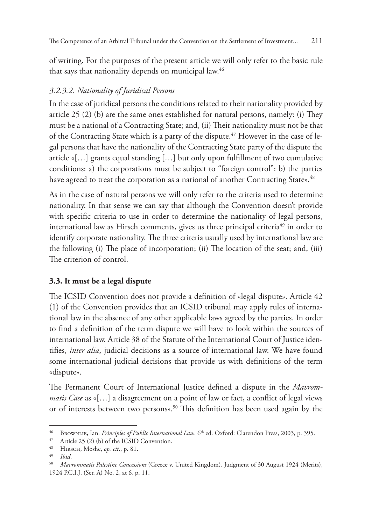of writing. For the purposes of the present article we will only refer to the basic rule that says that nationality depends on municipal law.<sup>46</sup>

# *3.2.3.2. Nationality of Juridical Persons*

In the case of juridical persons the conditions related to their nationality provided by article 25 (2) (b) are the same ones established for natural persons, namely: (i) They must be a national of a Contracting State; and, (ii) Their nationality must not be that of the Contracting State which is a party of the dispute.<sup>47</sup> However in the case of legal persons that have the nationality of the Contracting State party of the dispute the article «[…] grants equal standing […] but only upon fulfillment of two cumulative conditions: a) the corporations must be subject to "foreign control": b) the parties have agreed to treat the corporation as a national of another Contracting State».<sup>48</sup>

As in the case of natural persons we will only refer to the criteria used to determine nationality. In that sense we can say that although the Convention doesn't provide with specific criteria to use in order to determine the nationality of legal persons, international law as Hirsch comments, gives us three principal criteria<sup>49</sup> in order to identify corporate nationality. The three criteria usually used by international law are the following (i) The place of incorporation; (ii) The location of the seat; and, (iii) The criterion of control.

# **3.3. It must be a legal dispute**

The ICSID Convention does not provide a definition of «legal dispute». Article 42 (1) of the Convention provides that an ICSID tribunal may apply rules of international law in the absence of any other applicable laws agreed by the parties. In order to find a definition of the term dispute we will have to look within the sources of international law. Article 38 of the Statute of the International Court of Justice identifies, *inter alia*, judicial decisions as a source of international law. We have found some international judicial decisions that provide us with definitions of the term «dispute».

The Permanent Court of International Justice defined a dispute in the *Mavrommatis Case* as «[…] a disagreement on a point of law or fact, a conflict of legal views or of interests between two persons».50 This definition has been used again by the

<sup>&</sup>lt;sup>46</sup> BrownLIE, Ian. *Principles of Public International Law*. 6<sup>th</sup> ed. Oxford: Clarendon Press, 2003, p. 395.

<sup>47</sup> Article 25 (2) (b) of the ICSID Convention.

<sup>48</sup> Hirsch, Moshe, *op. cit*., p. 81.

<sup>49</sup> *Ibid*.

<sup>50</sup> *Mavrommatis Palestine Concessions* (Greece v. United Kingdom), Judgment of 30 August 1924 (Merits), 1924 P.C.I.J. (Ser. A) No. 2, at 6, p. 11.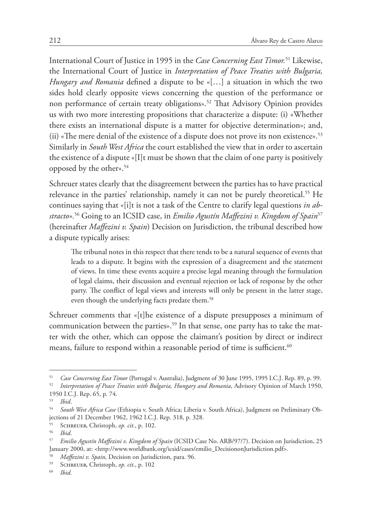International Court of Justice in 1995 in the *Case Concerning East Timor.*51 Likewise, the International Court of Justice in *Interpretation of Peace Treaties with Bulgaria, Hungary and Romania* defined a dispute to be «[…] a situation in which the two sides hold clearly opposite views concerning the question of the performance or non performance of certain treaty obligations».<sup>52</sup> That Advisory Opinion provides us with two more interesting propositions that characterize a dispute: (i) «Whether there exists an international dispute is a matter for objective determination»; and, (ii) «The mere denial of the existence of a dispute does not prove its non existence».<sup>53</sup> Similarly in *South West Africa* the court established the view that in order to ascertain the existence of a dispute «[I]t must be shown that the claim of one party is positively opposed by the other».54

Schreuer states clearly that the disagreement between the parties has to have practical relevance in the parties' relationship, namely it can not be purely theoretical.<sup>55</sup> He continues saying that «[i]t is not a task of the Centre to clarify legal questions *in abstracto».*<sup>56</sup> Going to an ICSID case, in *Emilio Agustín Maffezini v. Kingdom of Spain*<sup>57</sup> (hereinafter *Maffezini v. Spain*) Decision on Jurisdiction, the tribunal described how a dispute typically arises:

The tribunal notes in this respect that there tends to be a natural sequence of events that leads to a dispute. It begins with the expression of a disagreement and the statement of views. In time these events acquire a precise legal meaning through the formulation of legal claims, their discussion and eventual rejection or lack of response by the other party. The conflict of legal views and interests will only be present in the latter stage, even though the underlying facts predate them.<sup>58</sup>

Schreuer comments that «[t]he existence of a dispute presupposes a minimum of communication between the parties».<sup>59</sup> In that sense, one party has to take the matter with the other, which can oppose the claimant's position by direct or indirect means, failure to respond within a reasonable period of time is sufficient.<sup>60</sup>

<sup>51</sup> *Case Concerning East Timor* (Portugal v. Australia), Judgment of 30 June 1995, 1995 I.C.J. Rep. 89, p. 99.

<sup>52</sup> *Interpretation of Peace Treaties with Bulgaria, Hungary and Romania*, Advisory Opinion of March 1950, 1950 I.C.J. Rep. 65, p. 74.

<sup>53</sup> *Ibid*.

<sup>54</sup> *South West Africa Case* (Ethiopia v. South Africa; Liberia v. South Africa), Judgment on Preliminary Objections of 21 December 1962, 1962 I.C.J. Rep. 318, p. 328.

<sup>&</sup>lt;sup>55</sup> SCHREUER, Christoph, *op. cit.*, p. 102.

<sup>56</sup> *Ibid*.

<sup>57</sup> *Emilio Agustín Maffezini v. Kingdom of Spain* (ICSID Case No. ARB/97/7). Decision on Jurisdiction, 25 January 2000, at: <http://www.worldbank.org/icsid/cases/emilio\_DecisiononJurisdiction.pdf>.

<sup>58</sup> *Maffezini v. Spain,* Decision on Jurisdiction, para. 96.

<sup>&</sup>lt;sup>59</sup> SCHREUER, Christoph, *op. cit.*, p. 102

<sup>60</sup> *Ibid*.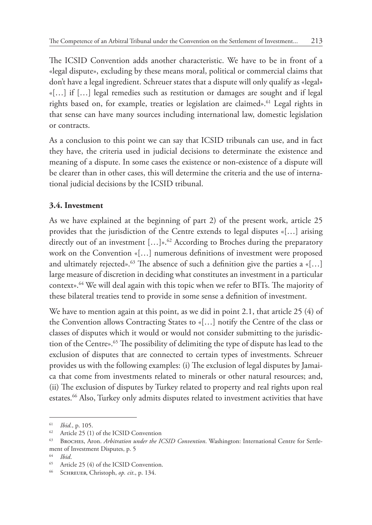The ICSID Convention adds another characteristic. We have to be in front of a «legal dispute», excluding by these means moral, political or commercial claims that don't have a legal ingredient. Schreuer states that a dispute will only qualify as «legal» «[…] if […] legal remedies such as restitution or damages are sought and if legal rights based on, for example, treaties or legislation are claimed».<sup>61</sup> Legal rights in that sense can have many sources including international law, domestic legislation or contracts.

As a conclusion to this point we can say that ICSID tribunals can use, and in fact they have, the criteria used in judicial decisions to determinate the existence and meaning of a dispute. In some cases the existence or non-existence of a dispute will be clearer than in other cases, this will determine the criteria and the use of international judicial decisions by the ICSID tribunal.

# **3.4. Investment**

As we have explained at the beginning of part 2) of the present work, article 25 provides that the jurisdiction of the Centre extends to legal disputes «[…] arising directly out of an investment  $[...]$ ».<sup>62</sup> According to Broches during the preparatory work on the Convention «[…] numerous definitions of investment were proposed and ultimately rejected».<sup>63</sup> The absence of such a definition give the parties a «[...] large measure of discretion in deciding what constitutes an investment in a particular context».64 We will deal again with this topic when we refer to BITs. The majority of these bilateral treaties tend to provide in some sense a definition of investment.

We have to mention again at this point, as we did in point 2.1, that article 25 (4) of the Convention allows Contracting States to «[…] notify the Centre of the class or classes of disputes which it would or would not consider submitting to the jurisdiction of the Centre».<sup>65</sup> The possibility of delimiting the type of dispute has lead to the exclusion of disputes that are connected to certain types of investments. Schreuer provides us with the following examples: (i) The exclusion of legal disputes by Jamaica that come from investments related to minerals or other natural resources; and, (ii) The exclusion of disputes by Turkey related to property and real rights upon real estates.<sup>66</sup> Also, Turkey only admits disputes related to investment activities that have

 $\frac{61}{62}$  *Ibid.*, p. 105.

Article 25 (1) of the ICSID Convention

<sup>63</sup> Broches, Aron. *Arbitration under the ICSID Convention*. Washington: International Centre for Settlement of Investment Disputes, p. 5

<sup>64</sup> *Ibid*.

<sup>65</sup> Article 25 (4) of the ICSID Convention.

<sup>66</sup> Schreuer, Christoph, *op. cit*., p. 134.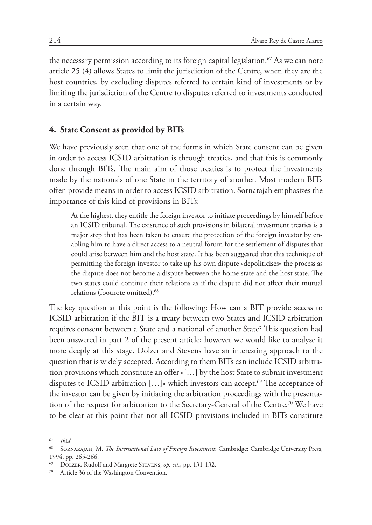the necessary permission according to its foreign capital legislation.<sup>67</sup> As we can note article 25 (4) allows States to limit the jurisdiction of the Centre, when they are the host countries, by excluding disputes referred to certain kind of investments or by limiting the jurisdiction of the Centre to disputes referred to investments conducted in a certain way.

#### **4. State Consent as provided by BITs**

We have previously seen that one of the forms in which State consent can be given in order to access ICSID arbitration is through treaties, and that this is commonly done through BITs. The main aim of those treaties is to protect the investments made by the nationals of one State in the territory of another. Most modern BITs often provide means in order to access ICSID arbitration. Sornarajah emphasizes the importance of this kind of provisions in BITs:

At the highest, they entitle the foreign investor to initiate proceedings by himself before an ICSID tribunal. The existence of such provisions in bilateral investment treaties is a major step that has been taken to ensure the protection of the foreign investor by enabling him to have a direct access to a neutral forum for the settlement of disputes that could arise between him and the host state. It has been suggested that this technique of permitting the foreign investor to take up his own dispute «depoliticises» the process as the dispute does not become a dispute between the home state and the host state. The two states could continue their relations as if the dispute did not affect their mutual relations (footnote omitted).<sup>68</sup>

The key question at this point is the following: How can a BIT provide access to ICSID arbitration if the BIT is a treaty between two States and ICSID arbitration requires consent between a State and a national of another State? This question had been answered in part 2 of the present article; however we would like to analyse it more deeply at this stage. Dolzer and Stevens have an interesting approach to the question that is widely accepted. According to them BITs can include ICSID arbitration provisions which constitute an offer «[…] by the host State to submit investment disputes to ICSID arbitration  $[...]$ » which investors can accept.<sup>69</sup> The acceptance of the investor can be given by initiating the arbitration proceedings with the presentation of the request for arbitration to the Secretary-General of the Centre.<sup>70</sup> We have to be clear at this point that not all ICSID provisions included in BITs constitute

<sup>67</sup> *Ibid*.

<sup>68</sup> Sornarajah, M. *The International Law of Foreign Investment*. Cambridge: Cambridge University Press, 1994, pp. 265-266.

<sup>69</sup> Dolzer, Rudolf and Margrete Stevens, *op. cit*., pp. 131-132.

Article 36 of the Washington Convention.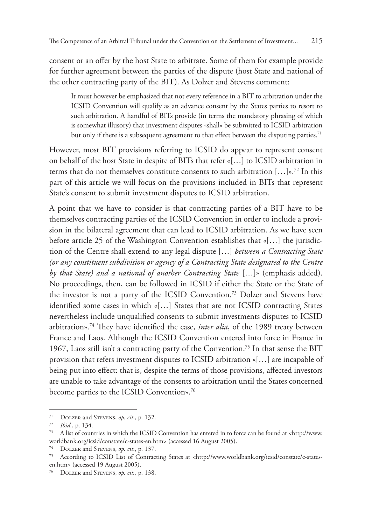consent or an offer by the host State to arbitrate. Some of them for example provide for further agreement between the parties of the dispute (host State and national of the other contracting party of the BIT). As Dolzer and Stevens comment:

It must however be emphasized that not every reference in a BIT to arbitration under the ICSID Convention will qualify as an advance consent by the States parties to resort to such arbitration. A handful of BITs provide (in terms the mandatory phrasing of which is somewhat illusory) that investment disputes «shall» be submitted to ICSID arbitration but only if there is a subsequent agreement to that effect between the disputing parties.<sup>71</sup>

However, most BIT provisions referring to ICSID do appear to represent consent on behalf of the host State in despite of BITs that refer «[…] to ICSID arbitration in terms that do not themselves constitute consents to such arbitration  $[...]^{p,72}$  In this part of this article we will focus on the provisions included in BITs that represent State's consent to submit investment disputes to ICSID arbitration.

A point that we have to consider is that contracting parties of a BIT have to be themselves contracting parties of the ICSID Convention in order to include a provision in the bilateral agreement that can lead to ICSID arbitration. As we have seen before article 25 of the Washington Convention establishes that «[…] the jurisdiction of the Centre shall extend to any legal dispute […] *between a Contracting State (or any constituent subdivision or agency of a Contracting State designated to the Centre by that State) and a national of another Contracting State* […]» (emphasis added). No proceedings, then, can be followed in ICSID if either the State or the State of the investor is not a party of the ICSID Convention.73 Dolzer and Stevens have identified some cases in which «[…] States that are not ICSID contracting States nevertheless include unqualified consents to submit investments disputes to ICSID arbitration».74 They have identified the case, *inter alia*, of the 1989 treaty between France and Laos. Although the ICSID Convention entered into force in France in 1967, Laos still isn't a contracting party of the Convention.75 In that sense the BIT provision that refers investment disputes to ICSID arbitration «[…] are incapable of being put into effect: that is, despite the terms of those provisions, affected investors are unable to take advantage of the consents to arbitration until the States concerned become parties to the ICSID Convention».<sup>76</sup>

<sup>71</sup> Dolzer and Stevens, *op. cit*., p. 132.

<sup>72</sup> *Ibid.*, p. 134.

<sup>73</sup> A list of countries in which the ICSID Convention has entered in to force can be found at <http://www. worldbank.org/icsid/constate/c-states-en.htm> (accessed 16 August 2005).

<sup>74</sup> Dolzer and Stevens, *op. cit*., p. 137.

<sup>75</sup> According to ICSID List of Contracting States at <http://www.worldbank.org/icsid/constate/c-statesen.htm> (accessed 19 August 2005).

<sup>76</sup> Dolzer and Stevens, *op. cit.*, p. 138.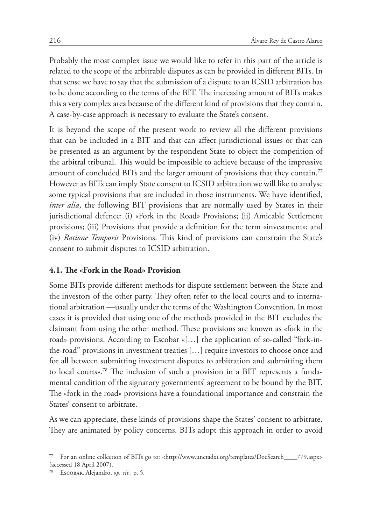Probably the most complex issue we would like to refer in this part of the article is related to the scope of the arbitrable disputes as can be provided in different BITs. In that sense we have to say that the submission of a dispute to an ICSID arbitration has to be done according to the terms of the BIT. The increasing amount of BITs makes this a very complex area because of the different kind of provisions that they contain. A case-by-case approach is necessary to evaluate the State's consent.

It is beyond the scope of the present work to review all the different provisions that can be included in a BIT and that can affect jurisdictional issues or that can be presented as an argument by the respondent State to object the competition of the arbitral tribunal. This would be impossible to achieve because of the impressive amount of concluded BITs and the larger amount of provisions that they contain.77 However as BITs can imply State consent to ICSID arbitration we will like to analyse some typical provisions that are included in those instruments. We have identified, *inter alia*, the following BIT provisions that are normally used by States in their jurisdictional defence: (i) «Fork in the Road» Provisions; (ii) Amicable Settlement provisions; (iii) Provisions that provide a definition for the term «investment»; and (iv) *Ratione Temporis* Provisions. This kind of provisions can constrain the State's consent to submit disputes to ICSID arbitration.

#### **4.1. The «Fork in the Road» Provision**

Some BITs provide different methods for dispute settlement between the State and the investors of the other party. They often refer to the local courts and to international arbitration —usually under the terms of the Washington Convention. In most cases it is provided that using one of the methods provided in the BIT excludes the claimant from using the other method. These provisions are known as «fork in the road» provisions. According to Escobar «[…] the application of so-called "fork-inthe-road" provisions in investment treaties […] require investors to choose once and for all between submitting investment disputes to arbitration and submitting them to local courts».78 The inclusion of such a provision in a BIT represents a fundamental condition of the signatory governments' agreement to be bound by the BIT. The «fork in the road» provisions have a foundational importance and constrain the States' consent to arbitrate.

As we can appreciate, these kinds of provisions shape the States' consent to arbitrate. They are animated by policy concerns. BITs adopt this approach in order to avoid

For an online collection of BITs go to: <http://www.unctadxi.org/templates/DocSearch\_\_\_\_779.aspx> (accessed 18 April 2007).

<sup>78</sup> Escobar, Alejandro, *op. cit.*, p. 5.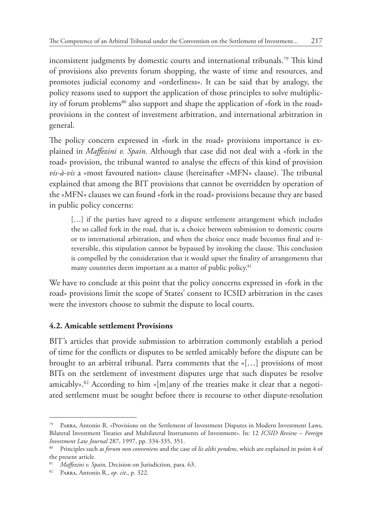inconsistent judgments by domestic courts and international tribunals.79 This kind of provisions also prevents forum shopping, the waste of time and resources, and promotes judicial economy and «orderliness». It can be said that by analogy, the policy reasons used to support the application of those principles to solve multiplicity of forum problems<sup>80</sup> also support and shape the application of «fork in the road» provisions in the contest of investment arbitration, and international arbitration in general.

The policy concern expressed in «fork in the road» provisions importance is explained in *Maffezini v. Spain*. Although that case did not deal with a «fork in the road» provision, the tribunal wanted to analyse the effects of this kind of provision *vis-à-vis* a «most favoured nation» clause (hereinafter «MFN» clause). The tribunal explained that among the BIT provisions that cannot be overridden by operation of the «MFN» clauses we can found «fork in the road» provisions because they are based in public policy concerns:

[...] if the parties have agreed to a dispute settlement arrangement which includes the so called fork in the road, that is, a choice between submission to domestic courts or to international arbitration, and when the choice once made becomes final and irreversible, this stipulation cannot be bypassed by invoking the clause. This conclusion is compelled by the consideration that it would upset the finality of arrangements that many countries deem important as a matter of public policy.<sup>81</sup>

We have to conclude at this point that the policy concerns expressed in «fork in the road» provisions limit the scope of States' consent to ICSID arbitration in the cases were the investors choose to submit the dispute to local courts.

# **4.2. Amicable settlement Provisions**

BIT's articles that provide submission to arbitration commonly establish a period of time for the conflicts or disputes to be settled amicably before the dispute can be brought to an arbitral tribunal. Parra comments that the «[…] provisions of most BITs on the settlement of investment disputes urge that such disputes be resolve amicably».<sup>82</sup> According to him « $[m]$ any of the treaties make it clear that a negotiated settlement must be sought before there is recourse to other dispute-resolution

<sup>79</sup> Parra, Antonio R. «Provisions on the Settlement of Investment Disputes in Modern Investment Laws, Bilateral Investment Treaties and Multilateral Instruments of Investment». In: 12 *ICSID Review – Foreign Investment Law Journal* 287, 1997, pp. 334-335, 351.

<sup>80</sup> Principles such as *forum non conveniens* and the case of *lis alibi pendens*, which are explained in point 4 of the present article.

<sup>81</sup> *Maffezini v. Spain,* Decision on Jurisdiction, para. 63.

<sup>82</sup> Parra, Antonio R., *op. cit*., p. 322.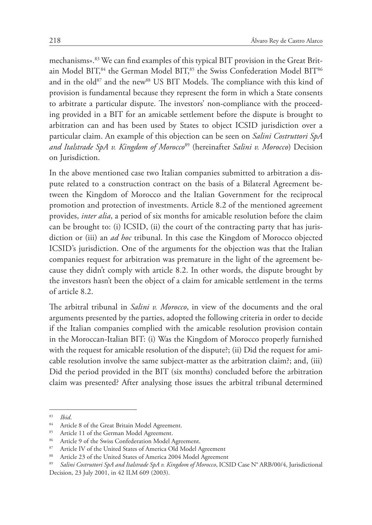mechanisms».<sup>83</sup> We can find examples of this typical BIT provision in the Great Britain Model BIT,<sup>84</sup> the German Model BIT,<sup>85</sup> the Swiss Confederation Model BIT<sup>86</sup> and in the old<sup>87</sup> and the new<sup>88</sup> US BIT Models. The compliance with this kind of provision is fundamental because they represent the form in which a State consents to arbitrate a particular dispute. The investors' non-compliance with the proceeding provided in a BIT for an amicable settlement before the dispute is brought to arbitration can and has been used by States to object ICSID jurisdiction over a particular claim. An example of this objection can be seen on *Salini Costruttori SpA and Italstrade SpA v. Kingdom of Morocco*89 (hereinafter *Salini v. Morocco*) Decision on Jurisdiction.

In the above mentioned case two Italian companies submitted to arbitration a dispute related to a construction contract on the basis of a Bilateral Agreement between the Kingdom of Morocco and the Italian Government for the reciprocal promotion and protection of investments. Article 8.2 of the mentioned agreement provides, *inter alia*, a period of six months for amicable resolution before the claim can be brought to: (i) ICSID, (ii) the court of the contracting party that has jurisdiction or (iii) an *ad hoc* tribunal. In this case the Kingdom of Morocco objected ICSID's jurisdiction. One of the arguments for the objection was that the Italian companies request for arbitration was premature in the light of the agreement because they didn't comply with article 8.2. In other words, the dispute brought by the investors hasn't been the object of a claim for amicable settlement in the terms of article 8.2.

The arbitral tribunal in *Salini v. Morocco*, in view of the documents and the oral arguments presented by the parties, adopted the following criteria in order to decide if the Italian companies complied with the amicable resolution provision contain in the Moroccan-Italian BIT: (i) Was the Kingdom of Morocco properly furnished with the request for amicable resolution of the dispute?; (ii) Did the request for amicable resolution involve the same subject-matter as the arbitration claim?; and, (iii) Did the period provided in the BIT (six months) concluded before the arbitration claim was presented? After analysing those issues the arbitral tribunal determined

 $\frac{83}{84}$  *Ibid.* 

<sup>&</sup>lt;sup>84</sup> Article 8 of the Great Britain Model Agreement.<br><sup>85</sup> Article 11 of the German Model Agreement.

Article 11 of the German Model Agreement.

<sup>86</sup> Article 9 of the Swiss Confederation Model Agreement.

<sup>87</sup> Article IV of the United States of America Old Model Agreement<br>88 Article 22 of the United States of America 2004 Model Agreement

Article 23 of the United States of America 2004 Model Agreement

<sup>89</sup> *Salini Costruttori SpA and Italstrade SpA v. Kingdom of Morocco*, ICSID Case N° ARB/00/4, Jurisdictional Decision, 23 July 2001, in 42 ILM 609 (2003).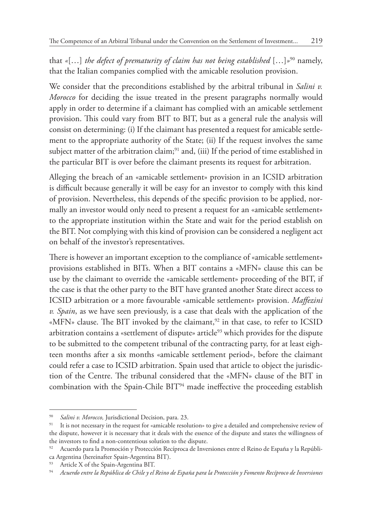that *«*[…] *the defect of prematurity of claim has not being established* […]*»*90 namely, that the Italian companies complied with the amicable resolution provision.

We consider that the preconditions established by the arbitral tribunal in *Salini v. Morocco* for deciding the issue treated in the present paragraphs normally would apply in order to determine if a claimant has complied with an amicable settlement provision. This could vary from BIT to BIT, but as a general rule the analysis will consist on determining: (i) If the claimant has presented a request for amicable settlement to the appropriate authority of the State; (ii) If the request involves the same subject matter of the arbitration claim;<sup>91</sup> and, (iii) If the period of time established in the particular BIT is over before the claimant presents its request for arbitration.

Alleging the breach of an «amicable settlement» provision in an ICSID arbitration is difficult because generally it will be easy for an investor to comply with this kind of provision. Nevertheless, this depends of the specific provision to be applied, normally an investor would only need to present a request for an «amicable settlement» to the appropriate institution within the State and wait for the period establish on the BIT. Not complying with this kind of provision can be considered a negligent act on behalf of the investor's representatives.

There is however an important exception to the compliance of «amicable settlement» provisions established in BITs. When a BIT contains a «MFN» clause this can be use by the claimant to override the «amicable settlement» proceeding of the BIT, if the case is that the other party to the BIT have granted another State direct access to ICSID arbitration or a more favourable «amicable settlement» provision. *Maffezini v. Spain*, as we have seen previously, is a case that deals with the application of the «MFN» clause. The BIT invoked by the claimant,<sup>92</sup> in that case, to refer to ICSID arbitration contains a «settlement of dispute» article<sup>93</sup> which provides for the dispute to be submitted to the competent tribunal of the contracting party, for at least eighteen months after a six months «amicable settlement period», before the claimant could refer a case to ICSID arbitration. Spain used that article to object the jurisdiction of the Centre. The tribunal considered that the «MFN» clause of the BIT in combination with the Spain-Chile BIT<sup>94</sup> made ineffective the proceeding establish

<sup>90</sup> *Salini v. Morocco,* Jurisdictional Decision, para. 23.

It is not necessary in the request for «amicable resolution» to give a detailed and comprehensive review of the dispute, however it is necessary that it deals with the essence of the dispute and states the willingness of the investors to find a non-contentious solution to the dispute.

<sup>92</sup> Acuerdo para la Promoción y Protección Recíproca de Inversiones entre el Reino de España y la República Argentina (hereinafter Spain-Argentina BIT).

<sup>&</sup>lt;sup>93</sup> Article X of the Spain-Argentina BIT.<br><sup>94</sup> Acuerdo entre la República de Chile y el

<sup>94</sup> *Acuerdo entre la República de Chile y el Reino de España para la Protección y Fomento Recíproco de Inversiones*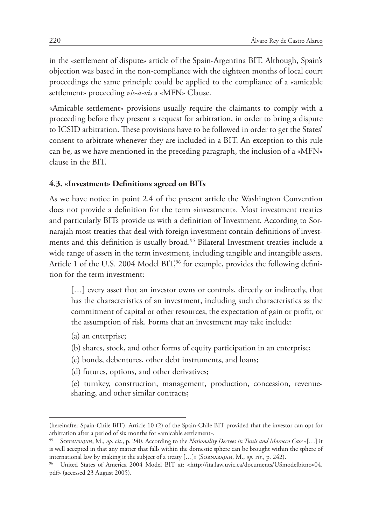in the «settlement of dispute» article of the Spain-Argentina BIT. Although, Spain's objection was based in the non-compliance with the eighteen months of local court proceedings the same principle could be applied to the compliance of a «amicable settlement» proceeding *vis-à-vis* a «MFN» Clause.

«Amicable settlement» provisions usually require the claimants to comply with a proceeding before they present a request for arbitration, in order to bring a dispute to ICSID arbitration. These provisions have to be followed in order to get the States' consent to arbitrate whenever they are included in a BIT. An exception to this rule can be, as we have mentioned in the preceding paragraph, the inclusion of a «MFN» clause in the BIT.

#### **4.3. «Investment» Definitions agreed on BITs**

As we have notice in point 2.4 of the present article the Washington Convention does not provide a definition for the term «investment». Most investment treaties and particularly BITs provide us with a definition of Investment. According to Sornarajah most treaties that deal with foreign investment contain definitions of investments and this definition is usually broad.<sup>95</sup> Bilateral Investment treaties include a wide range of assets in the term investment, including tangible and intangible assets. Article 1 of the U.S. 2004 Model BIT,<sup>96</sup> for example, provides the following definition for the term investment:

[...] every asset that an investor owns or controls, directly or indirectly, that has the characteristics of an investment, including such characteristics as the commitment of capital or other resources, the expectation of gain or profit, or the assumption of risk. Forms that an investment may take include:

- (a) an enterprise;
- (b) shares, stock, and other forms of equity participation in an enterprise;
- (c) bonds, debentures, other debt instruments, and loans;
- (d) futures, options, and other derivatives;
- (e) turnkey, construction, management, production, concession, revenuesharing, and other similar contracts;

<sup>(</sup>hereinafter Spain-Chile BIT). Article 10 (2) of the Spain-Chile BIT provided that the investor can opt for arbitration after a period of six months for «amicable settlement».

<sup>95</sup> Sornarajah, M., *op. cit.*, p. 240. According to the *Nationality Decrees in Tunis and Morocco Case* «[…] it is well accepted in that any matter that falls within the domestic sphere can be brought within the sphere of international law by making it the subject of a treaty […]» (Sornarajah, M., *op. cit*., p. 242).

<sup>96</sup> United States of America 2004 Model BIT at: <http://ita.law.uvic.ca/documents/USmodelbitnov04. pdf> (accessed 23 August 2005).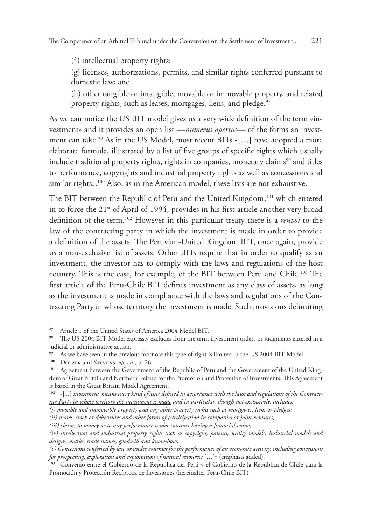(f) intellectual property rights;

(g) licenses, authorizations, permits, and similar rights conferred pursuant to domestic law; and

(h) other tangible or intangible, movable or immovable property, and related property rights, such as leases, mortgages, liens, and pledge.<sup>97</sup>

As we can notice the US BIT model gives us a very wide definition of the term «investment» and it provides an open list —*numerus apertus—* of the forms an investment can take.<sup>98</sup> As in the US Model, most recent BITs «[...] have adopted a more elaborate formula, illustrated by a list of five groups of specific rights which usually include traditional property rights, rights in companies, monetary claims<sup>99</sup> and titles to performance, copyrights and industrial property rights as well as concessions and similar rights».<sup>100</sup> Also, as in the American model, these lists are not exhaustive.

The BIT between the Republic of Peru and the United Kingdom,<sup>101</sup> which entered in to force the  $21^{st}$  of April of 1994, provides in his first article another very broad definition of the term.102 However in this particular treaty there is a *renvoi* to the law of the contracting party in which the investment is made in order to provide a definition of the assets. The Peruvian-United Kingdom BIT, once again, provide us a non-exclusive list of assets. Other BITs require that in order to qualify as an investment, the investor has to comply with the laws and regulations of the host country. This is the case, for example, of the BIT between Peru and Chile.103 The first article of the Peru-Chile BIT defines investment as any class of assets, as long as the investment is made in compliance with the laws and regulations of the Contracting Party in whose territory the investment is made. Such provisions delimiting

<sup>97</sup> Article 1 of the United States of America 2004 Model BIT.

<sup>98</sup> The US 2004 BIT Model expressly excludes from the term investment orders or judgments entered in a judicial or administrative action.

As we have seen in the previous footnote this type of right is limited in the US 2004 BIT Model.

<sup>&</sup>lt;sup>100</sup> DOLZER and STEVENS, *op. cit.*, p. 26<sup>101</sup> Agreement between the Government

Agreement between the Government of the Republic of Peru and the Government of the United Kingdom of Great Britain and Northern Ireland for the Promotion and Protection of Investments. This Agreement is based in the Great Britain Model Agreement.

<sup>102</sup> «[*...*] *investment' means every kind of asset defined in accordance with the laws and regulations of the Contracting Party in whose territory the investment is made and in particular, though not exclusively, includes:* 

*<sup>(</sup>i) movable and immovable property and any other property rights such as mortgages, liens or pledges;* 

*<sup>(</sup>ii) shares, stock or debentures and other forms of participation in companies or joint ventures;* 

*<sup>(</sup>iii) claims to money or to any performance under contract having a financial value;* 

*<sup>(</sup>iv) intellectual and industrial property rights such as copyright, patents, utility models, industrial models and designs, marks, trade names, goodwill and know-how;* 

*<sup>(</sup>v) Concessions conferred by law or under contract for the performance of an economic activity, including concessions for prospecting, exploration and exploitation of natural resources* […]» (emphasis added).

<sup>103</sup> Convenio entre el Gobierno de la República del Perú y el Gobierno de la República de Chile para la Promoción y Protección Recíproca de Inversiones (hereinafter Peru-Chile BIT)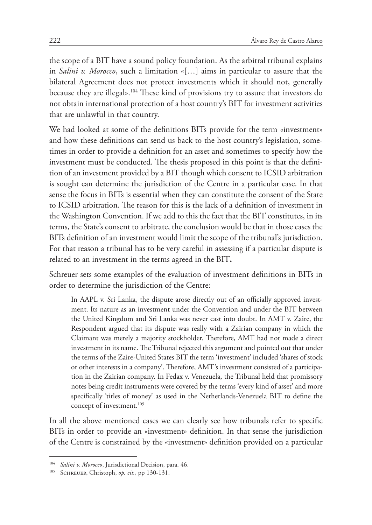the scope of a BIT have a sound policy foundation. As the arbitral tribunal explains in *Salini v. Morocco*, such a limitation «[…] aims in particular to assure that the bilateral Agreement does not protect investments which it should not, generally because they are illegal».104 These kind of provisions try to assure that investors do not obtain international protection of a host country's BIT for investment activities that are unlawful in that country.

We had looked at some of the definitions BITs provide for the term «investment» and how these definitions can send us back to the host country's legislation, sometimes in order to provide a definition for an asset and sometimes to specify how the investment must be conducted. The thesis proposed in this point is that the definition of an investment provided by a BIT though which consent to ICSID arbitration is sought can determine the jurisdiction of the Centre in a particular case. In that sense the focus in BITs is essential when they can constitute the consent of the State to ICSID arbitration. The reason for this is the lack of a definition of investment in the Washington Convention. If we add to this the fact that the BIT constitutes, in its terms, the State's consent to arbitrate, the conclusion would be that in those cases the BITs definition of an investment would limit the scope of the tribunal's jurisdiction. For that reason a tribunal has to be very careful in assessing if a particular dispute is related to an investment in the terms agreed in the BIT**.**

Schreuer sets some examples of the evaluation of investment definitions in BITs in order to determine the jurisdiction of the Centre:

In AAPL v. Sri Lanka, the dispute arose directly out of an officially approved investment. Its nature as an investment under the Convention and under the BIT between the United Kingdom and Sri Lanka was never cast into doubt. In AMT v. Zaire, the Respondent argued that its dispute was really with a Zairian company in which the Claimant was merely a majority stockholder. Therefore, AMT had not made a direct investment in its name. The Tribunal rejected this argument and pointed out that under the terms of the Zaire-United States BIT the term 'investment' included 'shares of stock or other interests in a company'. Therefore, AMT's investment consisted of a participation in the Zairian company. In Fedax v. Venezuela, the Tribunal held that promissory notes being credit instruments were covered by the terms 'every kind of asset' and more specifically 'titles of money' as used in the Netherlands-Venezuela BIT to define the concept of investment.<sup>105</sup>

In all the above mentioned cases we can clearly see how tribunals refer to specific BITs in order to provide an «investment» definition. In that sense the jurisdiction of the Centre is constrained by the «investment» definition provided on a particular

<sup>104</sup> *Salini v. Morocco*, Jurisdictional Decision, para. 46.

<sup>105</sup> Schreuer, Christoph, *op. cit.*, pp 130-131.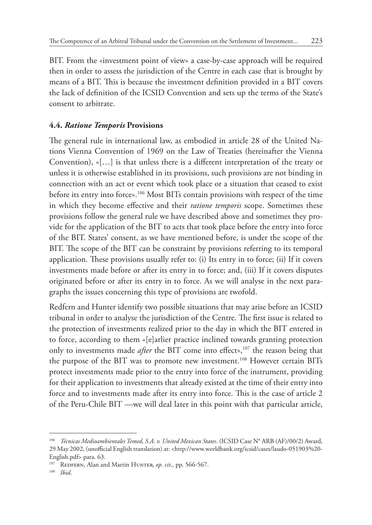BIT. From the «investment point of view» a case-by-case approach will be required then in order to assess the jurisdiction of the Centre in each case that is brought by means of a BIT. This is because the investment definition provided in a BIT covers the lack of definition of the ICSID Convention and sets up the terms of the State's consent to arbitrate.

### **4.4.** *Ratione Temporis* **Provisions**

The general rule in international law, as embodied in article 28 of the United Nations Vienna Convention of 1969 on the Law of Treaties (hereinafter the Vienna Convention), «[…] is that unless there is a different interpretation of the treaty or unless it is otherwise established in its provisions, such provisions are not binding in connection with an act or event which took place or a situation that ceased to exist before its entry into force».<sup>106</sup> Most BITs contain provisions with respect of the time in which they become effective and their *ratione temporis* scope. Sometimes these provisions follow the general rule we have described above and sometimes they provide for the application of the BIT to acts that took place before the entry into force of the BIT. States' consent, as we have mentioned before, is under the scope of the BIT. The scope of the BIT can be constraint by provisions referring to its temporal application. These provisions usually refer to: (i) Its entry in to force; (ii) If it covers investments made before or after its entry in to force; and, (iii) If it covers disputes originated before or after its entry in to force. As we will analyse in the next paragraphs the issues concerning this type of provisions are twofold.

Redfern and Hunter identify two possible situations that may arise before an ICSID tribunal in order to analyse the jurisdiction of the Centre. The first issue is related to the protection of investments realized prior to the day in which the BIT entered in to force, according to them «[e]arlier practice inclined towards granting protection only to investments made *after* the BIT come into effect»,<sup>107</sup> the reason being that the purpose of the BIT was to promote new investment.<sup>108</sup> However certain BITs protect investments made prior to the entry into force of the instrument, providing for their application to investments that already existed at the time of their entry into force and to investments made after its entry into force. This is the case of article 2 of the Peru-Chile BIT —we will deal later in this point with that particular article,

<sup>106</sup> *Técnicas Medioambientales Temed, S.A. v. United Mexican States*. (ICSID Case N° ARB (AF)/00/2) Award, 29 May 2002, (unofficial English translation) at: <http://www.worldbank.org/icsid/cases/laudo-051903%20- English.pdf> para. 63.

<sup>&</sup>lt;sup>107</sup> REDFERN, Alan and Martin HUNTER, *op. cit.*, pp. 566-567.

<sup>108</sup> *Ibid*.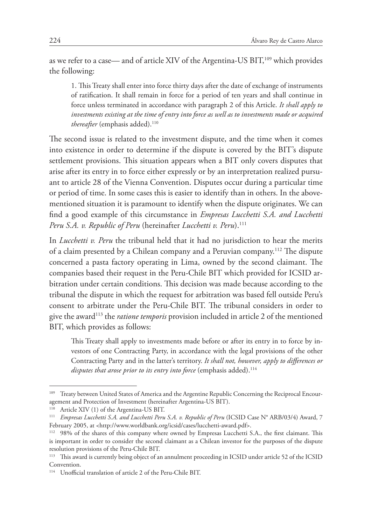as we refer to a case— and of article XIV of the Argentina-US BIT,<sup>109</sup> which provides the following:

1. This Treaty shall enter into force thirty days after the date of exchange of instruments of ratification. It shall remain in force for a period of ten years and shall continue in force unless terminated in accordance with paragraph 2 of this Article. *It shall apply to investments existing at the time of entry into force as well as to investments made or acquired thereafter* (emphasis added).<sup>110</sup>

The second issue is related to the investment dispute, and the time when it comes into existence in order to determine if the dispute is covered by the BIT's dispute settlement provisions. This situation appears when a BIT only covers disputes that arise after its entry in to force either expressly or by an interpretation realized pursuant to article 28 of the Vienna Convention. Disputes occur during a particular time or period of time. In some cases this is easier to identify than in others. In the abovementioned situation it is paramount to identify when the dispute originates. We can find a good example of this circumstance in *Empresas Lucchetti S.A. and Lucchetti Peru S.A. v. Republic of Peru* (hereinafter *Lucchetti v. Peru*).111

In *Lucchetti v. Peru* the tribunal held that it had no jurisdiction to hear the merits of a claim presented by a Chilean company and a Peruvian company.112 The dispute concerned a pasta factory operating in Lima, owned by the second claimant. The companies based their request in the Peru-Chile BIT which provided for ICSID arbitration under certain conditions. This decision was made because according to the tribunal the dispute in which the request for arbitration was based fell outside Peru's consent to arbitrate under the Peru-Chile BIT. The tribunal considers in order to give the award113 the *ratione temporis* provision included in article 2 of the mentioned BIT, which provides as follows:

This Treaty shall apply to investments made before or after its entry in to force by investors of one Contracting Party, in accordance with the legal provisions of the other Contracting Party and in the latter's territory. *It shall not, however, apply to differences or*  disputes that arose prior to its entry into force (emphasis added).<sup>114</sup>

<sup>&</sup>lt;sup>109</sup> Treaty between United States of America and the Argentine Republic Concerning the Reciprocal Encouragement and Protection of Investment (hereinafter Argentina-US BIT).

<sup>110</sup> Article XIV (1) of the Argentina-US BIT.

<sup>111</sup> *Empresas Lucchetti S.A. and Lucchetti Peru S.A. v. Republic of Peru* (ICSID Case N° ARB/03/4) Award, 7 February 2005, at <http://www.worldbank.org/icsid/cases/lucchetti-award.pdf>.

<sup>112</sup> 98% of the shares of this company where owned by Empresas Lucchetti S.A., the first claimant. This is important in order to consider the second claimant as a Chilean investor for the purposes of the dispute resolution provisions of the Peru-Chile BIT.

<sup>&</sup>lt;sup>113</sup> This award is currently being object of an annulment proceeding in ICSID under article 52 of the ICSID Convention.

<sup>114</sup> Unofficial translation of article 2 of the Peru-Chile BIT.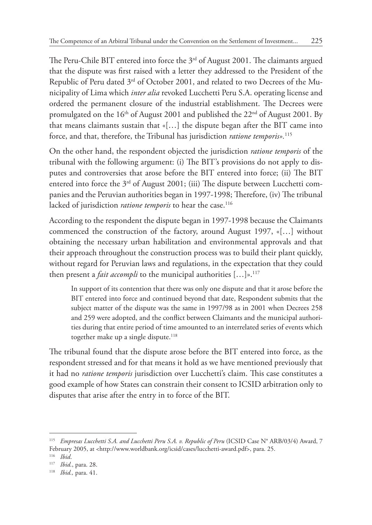The Peru-Chile BIT entered into force the  $3<sup>rd</sup>$  of August 2001. The claimants argued that the dispute was first raised with a letter they addressed to the President of the Republic of Peru dated 3<sup>rd</sup> of October 2001, and related to two Decrees of the Municipality of Lima which *inter alia* revoked Lucchetti Peru S.A. operating license and ordered the permanent closure of the industrial establishment. The Decrees were promulgated on the  $16<sup>th</sup>$  of August 2001 and published the  $22<sup>nd</sup>$  of August 2001. By that means claimants sustain that «[…] the dispute began after the BIT came into force, and that, therefore, the Tribunal has jurisdiction *ratione temporis».*<sup>115</sup>

On the other hand, the respondent objected the jurisdiction *ratione temporis* of the tribunal with the following argument: (i) The BIT's provisions do not apply to disputes and controversies that arose before the BIT entered into force; (ii) The BIT entered into force the  $3<sup>rd</sup>$  of August 2001; (iii) The dispute between Lucchetti companies and the Peruvian authorities began in 1997-1998; Therefore, (iv) The tribunal lacked of jurisdiction *ratione temporis* to hear the case.<sup>116</sup>

According to the respondent the dispute began in 1997-1998 because the Claimants commenced the construction of the factory, around August 1997, «[…] without obtaining the necessary urban habilitation and environmental approvals and that their approach throughout the construction process was to build their plant quickly, without regard for Peruvian laws and regulations, in the expectation that they could then present a *fait accompli* to the municipal authorities  $[\dots]_{\mathfrak{d}}$ ,  $^{117}$ 

In support of its contention that there was only one dispute and that it arose before the BIT entered into force and continued beyond that date, Respondent submits that the subject matter of the dispute was the same in 1997/98 as in 2001 when Decrees 258 and 259 were adopted, and the conflict between Claimants and the municipal authorities during that entire period of time amounted to an interrelated series of events which together make up a single dispute.<sup>118</sup>

The tribunal found that the dispute arose before the BIT entered into force, as the respondent stressed and for that means it hold as we have mentioned previously that it had no *ratione temporis* jurisdiction over Lucchetti's claim. This case constitutes a good example of how States can constrain their consent to ICSID arbitration only to disputes that arise after the entry in to force of the BIT.

<sup>115</sup> *Empresas Lucchetti S.A. and Lucchetti Peru S.A. v. Republic of Peru* (ICSID Case N° ARB/03/4) Award, 7 February 2005, at <http://www.worldbank.org/icsid/cases/lucchetti-award.pdf>, para. 25.

<sup>116</sup> *Ibid*.

<sup>117</sup> *Ibid.*, para. 28.

<sup>118</sup> *Ibid.,* para. 41.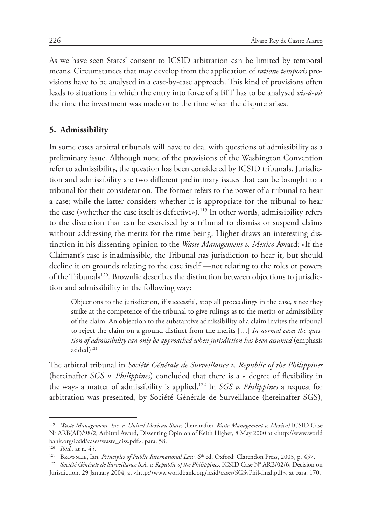As we have seen States' consent to ICSID arbitration can be limited by temporal means. Circumstances that may develop from the application of *ratione temporis* provisions have to be analysed in a case-by-case approach. This kind of provisions often leads to situations in which the entry into force of a BIT has to be analysed *vis-à-vis* the time the investment was made or to the time when the dispute arises.

#### **5. Admissibility**

In some cases arbitral tribunals will have to deal with questions of admissibility as a preliminary issue. Although none of the provisions of the Washington Convention refer to admissibility, the question has been considered by ICSID tribunals. Jurisdiction and admissibility are two different preliminary issues that can be brought to a tribunal for their consideration. The former refers to the power of a tribunal to hear a case; while the latter considers whether it is appropriate for the tribunal to hear the case («whether the case itself is defective»).<sup>119</sup> In other words, admissibility refers to the discretion that can be exercised by a tribunal to dismiss or suspend claims without addressing the merits for the time being. Highet draws an interesting distinction in his dissenting opinion to the *Waste Management v. Mexico* Award: «If the Claimant's case is inadmissible, the Tribunal has jurisdiction to hear it, but should decline it on grounds relating to the case itself —not relating to the roles or powers of the Tribunal»120. Brownlie describes the distinction between objections to jurisdiction and admissibility in the following way:

Objections to the jurisdiction, if successful, stop all proceedings in the case, since they strike at the competence of the tribunal to give rulings as to the merits or admissibility of the claim. An objection to the substantive admissibility of a claim invites the tribunal to reject the claim on a ground distinct from the merits […] *In normal cases the question of admissibility can only be approached when jurisdiction has been assumed* (emphasis added)<sup>121</sup>

The arbitral tribunal in *Société Générale de Surveillance v. Republic of the Philippines* (hereinafter *SGS v. Philippines*) concluded that there is a « degree of flexibility in the way» a matter of admissibility is applied.122 In *SGS v. Philippines* a request for arbitration was presented, by Société Générale de Surveillance (hereinafter SGS),

<sup>119</sup> *Waste Management, Inc. v. United Mexican States* (hereinafter *Waste Management v. Mexico)* ICSID Case N° ARB(AF)/98/2, Arbitral Award, Dissenting Opinion of Keith Highet, 8 May 2000 at <http://www.world bank.org/icsid/cases/waste\_diss.pdf>, para. 58.

 $\frac{120}{121}$  *Ibid.*, at n. 45.

<sup>121</sup> Brownlie, Ian. *Principles of Public International Law*. 6th ed. Oxford: Clarendon Press, 2003, p. 457.

<sup>&</sup>lt;sup>122</sup> Société Générale de Surveillance S.A. v. Republic of the Philippines, ICSID Case N° ARB/02/6, Decision on Jurisdiction, 29 January 2004, at <http://www.worldbank.org/icsid/cases/SGSvPhil-final.pdf>, at para. 170.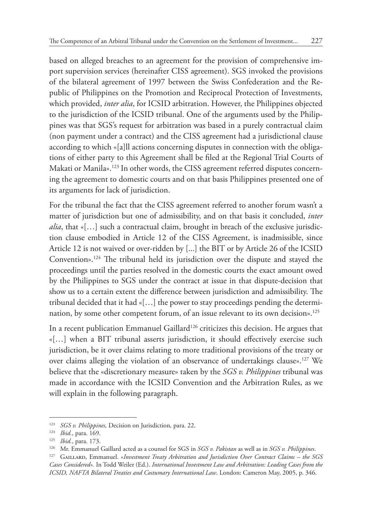based on alleged breaches to an agreement for the provision of comprehensive import supervision services (hereinafter CISS agreement). SGS invoked the provisions of the bilateral agreement of 1997 between the Swiss Confederation and the Republic of Philippines on the Promotion and Reciprocal Protection of Investments, which provided, *inter alia*, for ICSID arbitration. However, the Philippines objected to the jurisdiction of the ICSID tribunal. One of the arguments used by the Philippines was that SGS's request for arbitration was based in a purely contractual claim (non payment under a contract) and the CISS agreement had a jurisdictional clause according to which «[a]ll actions concerning disputes in connection with the obligations of either party to this Agreement shall be filed at the Regional Trial Courts of Makati or Manila».<sup>123</sup> In other words, the CISS agreement referred disputes concerning the agreement to domestic courts and on that basis Philippines presented one of its arguments for lack of jurisdiction.

For the tribunal the fact that the CISS agreement referred to another forum wasn't a matter of jurisdiction but one of admissibility, and on that basis it concluded, *inter*  alia, that «[...] such a contractual claim, brought in breach of the exclusive jurisdiction clause embodied in Article 12 of the CISS Agreement, is inadmissible, since Article 12 is not waived or over-ridden by [...] the BIT or by Article 26 of the ICSID Convention».124 The tribunal held its jurisdiction over the dispute and stayed the proceedings until the parties resolved in the domestic courts the exact amount owed by the Philippines to SGS under the contract at issue in that dispute-decision that show us to a certain extent the difference between jurisdiction and admissibility. The tribunal decided that it had «[…] the power to stay proceedings pending the determination, by some other competent forum, of an issue relevant to its own decision».<sup>125</sup>

In a recent publication Emmanuel Gaillard<sup>126</sup> criticizes this decision. He argues that «[…] when a BIT tribunal asserts jurisdiction, it should effectively exercise such jurisdiction, be it over claims relating to more traditional provisions of the treaty or over claims alleging the violation of an observance of undertakings clause».<sup>127</sup> We believe that the «discretionary measure» taken by the *SGS v. Philippines* tribunal was made in accordance with the ICSID Convention and the Arbitration Rules, as we will explain in the following paragraph.

<sup>123</sup> *SGS v. Philippines,* Decision on Jurisdiction*,* para. 22.

<sup>124</sup> *Ibid.*, para. 169.

<sup>125</sup> *Ibid.*, para. 173.

<sup>126</sup> Mr. Emmanuel Gaillard acted as a counsel for SGS in *SGS v. Pakistan* as well as in *SGS v. Philippines*.

<sup>&</sup>lt;sup>127</sup> GAILLARD, Emmanuel. «*Investment Treaty Arbitration and Jurisdiction Over Contract Claims – the SGS Cases Considered».* In Todd Weiler (Ed.). *International Investment Law and Arbitration: Leading Cases from the ICSID, NAFTA Bilateral Treaties and Costumary International Law*. London: Cameron May, 2005, p. 346.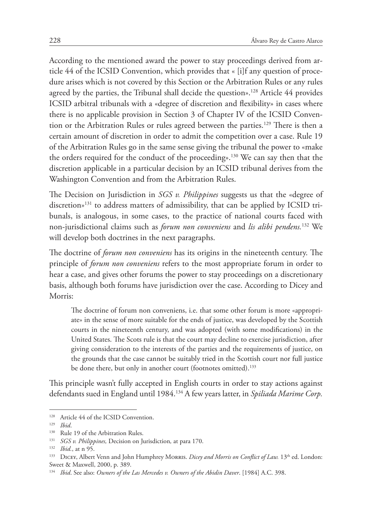According to the mentioned award the power to stay proceedings derived from article 44 of the ICSID Convention, which provides that « [i]f any question of procedure arises which is not covered by this Section or the Arbitration Rules or any rules agreed by the parties, the Tribunal shall decide the question».<sup>128</sup> Article 44 provides ICSID arbitral tribunals with a «degree of discretion and flexibility» in cases where there is no applicable provision in Section 3 of Chapter IV of the ICSID Convention or the Arbitration Rules or rules agreed between the parties.129 There is then a certain amount of discretion in order to admit the competition over a case. Rule 19 of the Arbitration Rules go in the same sense giving the tribunal the power to «make the orders required for the conduct of the proceeding».130 We can say then that the discretion applicable in a particular decision by an ICSID tribunal derives from the Washington Convention and from the Arbitration Rules.

The Decision on Jurisdiction in *SGS v. Philippines* suggests us that the «degree of discretion»131 to address matters of admissibility, that can be applied by ICSID tribunals, is analogous, in some cases, to the practice of national courts faced with non-jurisdictional claims such as *forum non conveniens* and *lis alibi pendens.*132 We will develop both doctrines in the next paragraphs.

The doctrine of *forum non conveniens* has its origins in the nineteenth century. The principle of *forum non conveniens* refers to the most appropriate forum in order to hear a case, and gives other forums the power to stay proceedings on a discretionary basis, although both forums have jurisdiction over the case. According to Dicey and Morris:

The doctrine of forum non conveniens, i.e. that some other forum is more «appropriate» in the sense of more suitable for the ends of justice, was developed by the Scottish courts in the nineteenth century, and was adopted (with some modifications) in the United States. The Scots rule is that the court may decline to exercise jurisdiction, after giving consideration to the interests of the parties and the requirements of justice, on the grounds that the case cannot be suitably tried in the Scottish court nor full justice be done there, but only in another court (footnotes omitted).<sup>133</sup>

This principle wasn't fully accepted in English courts in order to stay actions against defendants sued in England until 1984.134 A few years latter, in *Spiliada Marime Corp.* 

<sup>&</sup>lt;sup>128</sup> Article 44 of the ICSID Convention.

<sup>129</sup> *Ibid*.

<sup>&</sup>lt;sup>130</sup> Rule 19 of the Arbitration Rules.

<sup>131</sup> *SGS v. Philippines,* Decision on Jurisdiction*,* at para 170.

<sup>132</sup> *Ibid.*, at n 95.

<sup>&</sup>lt;sup>133</sup> DICEY, Albert Venn and John Humphrey Morris. *Dicey and Morris on Conflict of Law.* 13<sup>th</sup> ed. London: Sweet & Maxwell, 2000, p. 389.

<sup>134</sup> *Ibid*. See also: *Owners of the Las Mercedes v. Owners of the Abidin Daver*. [1984] A.C. 398.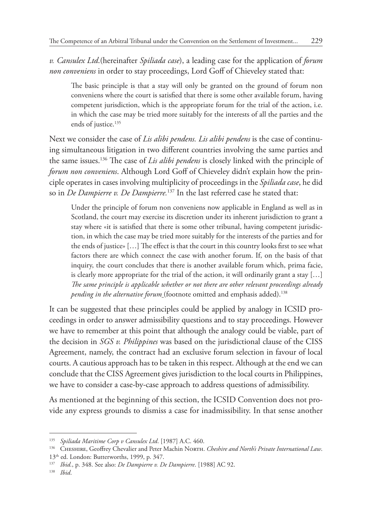*v. Cansulex Ltd*.(hereinafter *Spiliada case*), a leading case for the application of *forum non conveniens* in order to stay proceedings, Lord Goff of Chieveley stated that:

The basic principle is that a stay will only be granted on the ground of forum non conveniens where the court is satisfied that there is some other available forum, having competent jurisdiction, which is the appropriate forum for the trial of the action, i.e. in which the case may be tried more suitably for the interests of all the parties and the ends of justice.<sup>135</sup>

Next we consider the case of *Lis alibi pendens. Lis alibi pendens* is the case of continuing simultaneous litigation in two different countries involving the same parties and the same issues.136 The case of *Lis alibi pendens* is closely linked with the principle of *forum non conveniens*. Although Lord Goff of Chieveley didn't explain how the principle operates in cases involving multiplicity of proceedings in the *Spiliada case*, he did so in *De Dampierre v. De Dampierre.*137 In the last referred case he stated that:

Under the principle of forum non conveniens now applicable in England as well as in Scotland, the court may exercise its discretion under its inherent jurisdiction to grant a stay where «it is satisfied that there is some other tribunal, having competent jurisdiction, in which the case may be tried more suitably for the interests of the parties and for the ends of justice» […] The effect is that the court in this country looks first to see what factors there are which connect the case with another forum. If, on the basis of that inquiry, the court concludes that there is another available forum which, prima facie, is clearly more appropriate for the trial of the action, it will ordinarily grant a stay […] *The same principle is applicable whether or not there are other relevant proceedings already pending in the alternative forum* (footnote omitted and emphasis added).138

It can be suggested that these principles could be applied by analogy in ICSID proceedings in order to answer admissibility questions and to stay proceedings. However we have to remember at this point that although the analogy could be viable, part of the decision in *SGS v. Philippines* was based on the jurisdictional clause of the CISS Agreement, namely, the contract had an exclusive forum selection in favour of local courts. A cautious approach has to be taken in this respect. Although at the end we can conclude that the CISS Agreement gives jurisdiction to the local courts in Philippines, we have to consider a case-by-case approach to address questions of admissibility.

As mentioned at the beginning of this section, the ICSID Convention does not provide any express grounds to dismiss a case for inadmissibility. In that sense another

<sup>135</sup> *Spiliada Maritime Corp v Cansulex Ltd*. [1987] A.C. 460.

<sup>136</sup> CHESHIRE, Geoffrey Chevalier and Peter Machin NORTH. Cheshire and North's Private International Law.

<sup>13</sup>th ed. London: Butterworths, 1999, p. 347.

<sup>137</sup> *Ibid.*, p. 348. See also: *De Dampierre v. De Dampierre*. [1988] AC 92.

<sup>138</sup> *Ibid*.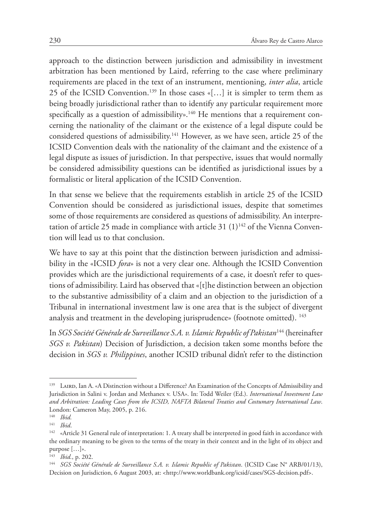approach to the distinction between jurisdiction and admissibility in investment arbitration has been mentioned by Laird, referring to the case where preliminary requirements are placed in the text of an instrument, mentioning, *inter alia*, article 25 of the ICSID Convention.<sup>139</sup> In those cases «[...] it is simpler to term them as being broadly jurisdictional rather than to identify any particular requirement more specifically as a question of admissibility».<sup>140</sup> He mentions that a requirement concerning the nationality of the claimant or the existence of a legal dispute could be considered questions of admissibility.<sup>141</sup> However, as we have seen, article 25 of the ICSID Convention deals with the nationality of the claimant and the existence of a legal dispute as issues of jurisdiction. In that perspective, issues that would normally be considered admissibility questions can be identified as jurisdictional issues by a formalistic or literal application of the ICSID Convention.

In that sense we believe that the requirements establish in article 25 of the ICSID Convention should be considered as jurisdictional issues, despite that sometimes some of those requirements are considered as questions of admissibility. An interpretation of article 25 made in compliance with article 31  $(1)^{142}$  of the Vienna Convention will lead us to that conclusion.

We have to say at this point that the distinction between jurisdiction and admissibility in the «ICSID *fora*» is not a very clear one. Although the ICSID Convention provides which are the jurisdictional requirements of a case, it doesn't refer to questions of admissibility. Laird has observed that «[t]he distinction between an objection to the substantive admissibility of a claim and an objection to the jurisdiction of a Tribunal in international investment law is one area that is the subject of divergent analysis and treatment in the developing jurisprudence» (footnote omitted). <sup>143</sup>

In *SGS Société Générale de Surveillance S.A. v. Islamic Republic of Pakistan*144 (hereinafter *SGS v. Pakistan*) Decision of Jurisdiction, a decision taken some months before the decision in *SGS v. Philippines*, another ICSID tribunal didn't refer to the distinction

<sup>139</sup> LAIRD, Ian A. «A Distinction without a Difference? An Examination of the Concepts of Admissibility and Jurisdiction in Salini v. Jordan and Methanex v. USA». In: Todd Weiler (Ed.). *International Investment Law and Arbitration: Leading Cases from the ICSID, NAFTA Bilateral Treaties and Costumary International Law*. London: Cameron May, 2005, p. 216.<br><sup>140</sup> Ibid

*Ibid.* 

<sup>141</sup> *Ibid*.

<sup>&</sup>lt;sup>142</sup> «Article 31 General rule of interpretation: 1. A treaty shall be interpreted in good faith in accordance with the ordinary meaning to be given to the terms of the treaty in their context and in the light of its object and purpose […]».

<sup>143</sup> *Ibid.*, p. 202.

<sup>144</sup> *SGS Société Générale de Surveillance S.A. v. Islamic Republic of Pakistan*. (ICSID Case N° ARB/01/13), Decision on Jurisdiction, 6 August 2003, at: <http://www.worldbank.org/icsid/cases/SGS-decision.pdf>.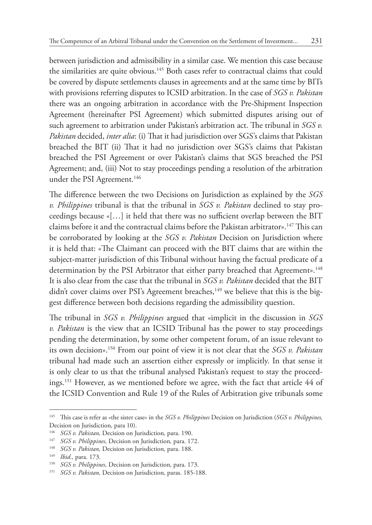between jurisdiction and admissibility in a similar case. We mention this case because the similarities are quite obvious.<sup>145</sup> Both cases refer to contractual claims that could be covered by dispute settlements clauses in agreements and at the same time by BITs with provisions referring disputes to ICSID arbitration. In the case of *SGS v. Pakistan* there was an ongoing arbitration in accordance with the Pre-Shipment Inspection Agreement (hereinafter PSI Agreement) which submitted disputes arising out of such agreement to arbitration under Pakistan's arbitration act. The tribunal in *SGS v. Pakistan* decided, *inter alia*: (i) That it had jurisdiction over SGS's claims that Pakistan breached the BIT (ii) That it had no jurisdiction over SGS's claims that Pakistan breached the PSI Agreement or over Pakistan's claims that SGS breached the PSI Agreement; and, (iii) Not to stay proceedings pending a resolution of the arbitration under the PSI Agreement.<sup>146</sup>

The difference between the two Decisions on Jurisdiction as explained by the *SGS v. Philippines* tribunal is that the tribunal in *SGS v. Pakistan* declined to stay proceedings because «[…] it held that there was no sufficient overlap between the BIT claims before it and the contractual claims before the Pakistan arbitrator».147 This can be corroborated by looking at the *SGS v. Pakistan* Decision on Jurisdiction where it is held that: «The Claimant can proceed with the BIT claims that are within the subject-matter jurisdiction of this Tribunal without having the factual predicate of a determination by the PSI Arbitrator that either party breached that Agreement».<sup>148</sup> It is also clear from the case that the tribunal in *SGS v. Pakistan* decided that the BIT didn't cover claims over PSI's Agreement breaches,<sup>149</sup> we believe that this is the biggest difference between both decisions regarding the admissibility question.

The tribunal in *SGS v. Philippines* argued that «implicit in the discussion in *SGS v. Pakistan* is the view that an ICSID Tribunal has the power to stay proceedings pending the determination, by some other competent forum, of an issue relevant to its own decision».150 From our point of view it is not clear that the *SGS v. Pakistan* tribunal had made such an assertion either expressly or implicitly. In that sense it is only clear to us that the tribunal analysed Pakistan's request to stay the proceedings.151 However, as we mentioned before we agree, with the fact that article 44 of the ICSID Convention and Rule 19 of the Rules of Arbitration give tribunals some

<sup>145</sup> This case is refer as «the sister case» in the *SGS v. Philippines* Decision on Jurisdiction (*SGS v. Philippines,*  Decision on Jurisdiction*,* para 10).

<sup>146</sup> *SGS v. Pakistan,* Decision on Jurisdiction*,* para. 190.

<sup>147</sup> *SGS v. Philippines,* Decision on Jurisdiction*,* para. 172.

<sup>148</sup> *SGS v. Pakistan,* Decision on Jurisdiction*,* para. 188.

<sup>149</sup> *Ibid.,* para. 173.

<sup>150</sup> *SGS v. Philippines,* Decision on Jurisdiction*,* para. 173.

<sup>151</sup> *SGS v. Pakistan,* Decision on Jurisdiction*,* paras. 185-188.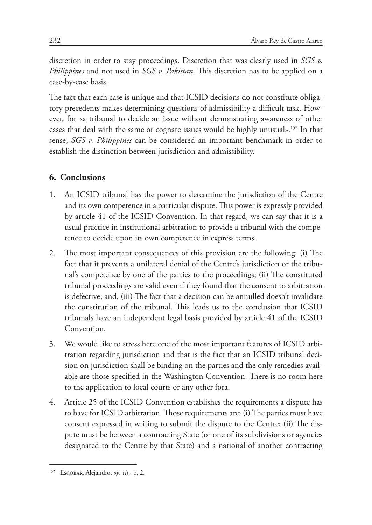discretion in order to stay proceedings. Discretion that was clearly used in *SGS v. Philippines* and not used in *SGS v. Pakistan*. This discretion has to be applied on a case-by-case basis.

The fact that each case is unique and that ICSID decisions do not constitute obligatory precedents makes determining questions of admissibility a difficult task. However, for «a tribunal to decide an issue without demonstrating awareness of other cases that deal with the same or cognate issues would be highly unusual».152 In that sense, *SGS v. Philippines* can be considered an important benchmark in order to establish the distinction between jurisdiction and admissibility.

# **6. Conclusions**

- 1. An ICSID tribunal has the power to determine the jurisdiction of the Centre and its own competence in a particular dispute. This power is expressly provided by article 41 of the ICSID Convention. In that regard, we can say that it is a usual practice in institutional arbitration to provide a tribunal with the competence to decide upon its own competence in express terms.
- 2. The most important consequences of this provision are the following: (i) The fact that it prevents a unilateral denial of the Centre's jurisdiction or the tribunal's competence by one of the parties to the proceedings; (ii) The constituted tribunal proceedings are valid even if they found that the consent to arbitration is defective; and, (iii) The fact that a decision can be annulled doesn't invalidate the constitution of the tribunal. This leads us to the conclusion that ICSID tribunals have an independent legal basis provided by article 41 of the ICSID Convention.
- 3. We would like to stress here one of the most important features of ICSID arbitration regarding jurisdiction and that is the fact that an ICSID tribunal decision on jurisdiction shall be binding on the parties and the only remedies available are those specified in the Washington Convention. There is no room here to the application to local courts or any other fora.
- 4. Article 25 of the ICSID Convention establishes the requirements a dispute has to have for ICSID arbitration. Those requirements are: (i) The parties must have consent expressed in writing to submit the dispute to the Centre; (ii) The dispute must be between a contracting State (or one of its subdivisions or agencies designated to the Centre by that State) and a national of another contracting

<sup>152</sup> Escobar, Alejandro, *op. cit*., p. 2.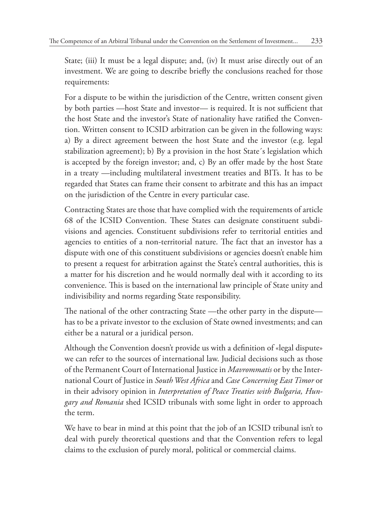State; (iii) It must be a legal dispute; and, (iv) It must arise directly out of an investment. We are going to describe briefly the conclusions reached for those requirements:

For a dispute to be within the jurisdiction of the Centre, written consent given by both parties —host State and investor— is required. It is not sufficient that the host State and the investor's State of nationality have ratified the Convention. Written consent to ICSID arbitration can be given in the following ways: a) By a direct agreement between the host State and the investor (e.g. legal stabilization agreement); b) By a provision in the host State´s legislation which is accepted by the foreign investor; and, c) By an offer made by the host State in a treaty —including multilateral investment treaties and BITs. It has to be regarded that States can frame their consent to arbitrate and this has an impact on the jurisdiction of the Centre in every particular case.

Contracting States are those that have complied with the requirements of article 68 of the ICSID Convention. These States can designate constituent subdivisions and agencies. Constituent subdivisions refer to territorial entities and agencies to entities of a non-territorial nature. The fact that an investor has a dispute with one of this constituent subdivisions or agencies doesn't enable him to present a request for arbitration against the State's central authorities, this is a matter for his discretion and he would normally deal with it according to its convenience. This is based on the international law principle of State unity and indivisibility and norms regarding State responsibility.

The national of the other contracting State —the other party in the dispute has to be a private investor to the exclusion of State owned investments; and can either be a natural or a juridical person.

Although the Convention doesn't provide us with a definition of «legal dispute» we can refer to the sources of international law. Judicial decisions such as those of the Permanent Court of International Justice in *Mavrommatis* or by the International Court of Justice in *South West Africa* and *Case Concerning East Timor* or in their advisory opinion in *Interpretation of Peace Treaties with Bulgaria, Hungary and Romania* shed ICSID tribunals with some light in order to approach the term.

We have to bear in mind at this point that the job of an ICSID tribunal isn't to deal with purely theoretical questions and that the Convention refers to legal claims to the exclusion of purely moral, political or commercial claims.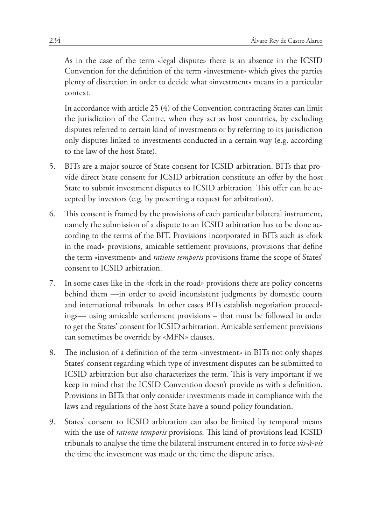As in the case of the term «legal dispute» there is an absence in the ICSID Convention for the definition of the term «investment» which gives the parties plenty of discretion in order to decide what «investment» means in a particular context.

In accordance with article 25 (4) of the Convention contracting States can limit the jurisdiction of the Centre, when they act as host countries, by excluding disputes referred to certain kind of investments or by referring to its jurisdiction only disputes linked to investments conducted in a certain way (e.g. according to the law of the host State).

- 5. BITs are a major source of State consent for ICSID arbitration. BITs that provide direct State consent for ICSID arbitration constitute an offer by the host State to submit investment disputes to ICSID arbitration. This offer can be accepted by investors (e.g. by presenting a request for arbitration).
- 6. This consent is framed by the provisions of each particular bilateral instrument, namely the submission of a dispute to an ICSID arbitration has to be done according to the terms of the BIT. Provisions incorporated in BITs such as «fork in the road» provisions, amicable settlement provisions, provisions that define the term «investment» and *ratione temporis* provisions frame the scope of States' consent to ICSID arbitration.
- 7. In some cases like in the «fork in the road» provisions there are policy concerns behind them —in order to avoid inconsistent judgments by domestic courts and international tribunals. In other cases BITs establish negotiation proceedings— using amicable settlement provisions – that must be followed in order to get the States' consent for ICSID arbitration. Amicable settlement provisions can sometimes be override by «MFN» clauses.
- 8. The inclusion of a definition of the term «investment» in BITs not only shapes States' consent regarding which type of investment disputes can be submitted to ICSID arbitration but also characterizes the term. This is very important if we keep in mind that the ICSID Convention doesn't provide us with a definition. Provisions in BITs that only consider investments made in compliance with the laws and regulations of the host State have a sound policy foundation.
- 9. States' consent to ICSID arbitration can also be limited by temporal means with the use of *ratione temporis* provisions. This kind of provisions lead ICSID tribunals to analyse the time the bilateral instrument entered in to force *vis-à-vis* the time the investment was made or the time the dispute arises.